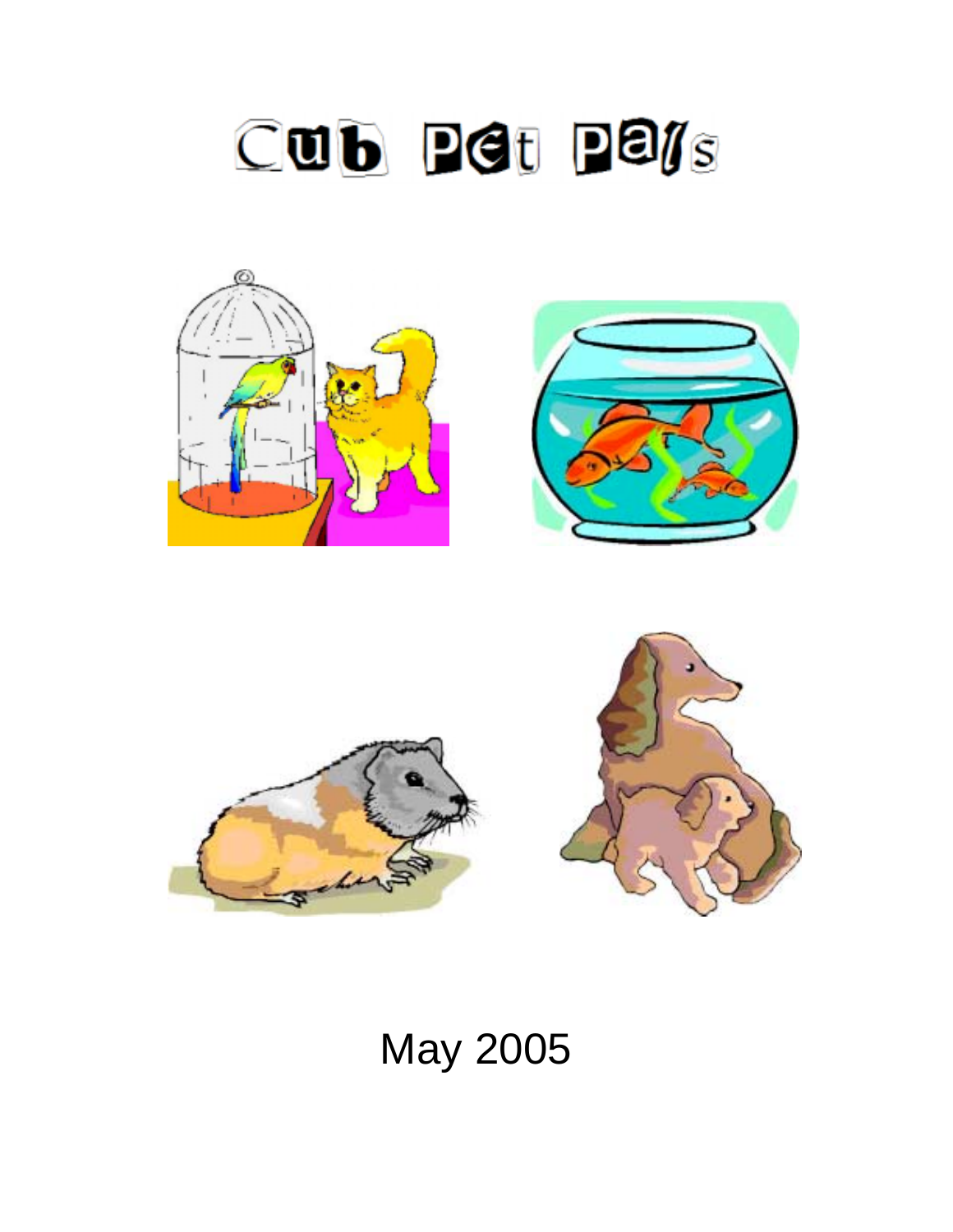





# May 2005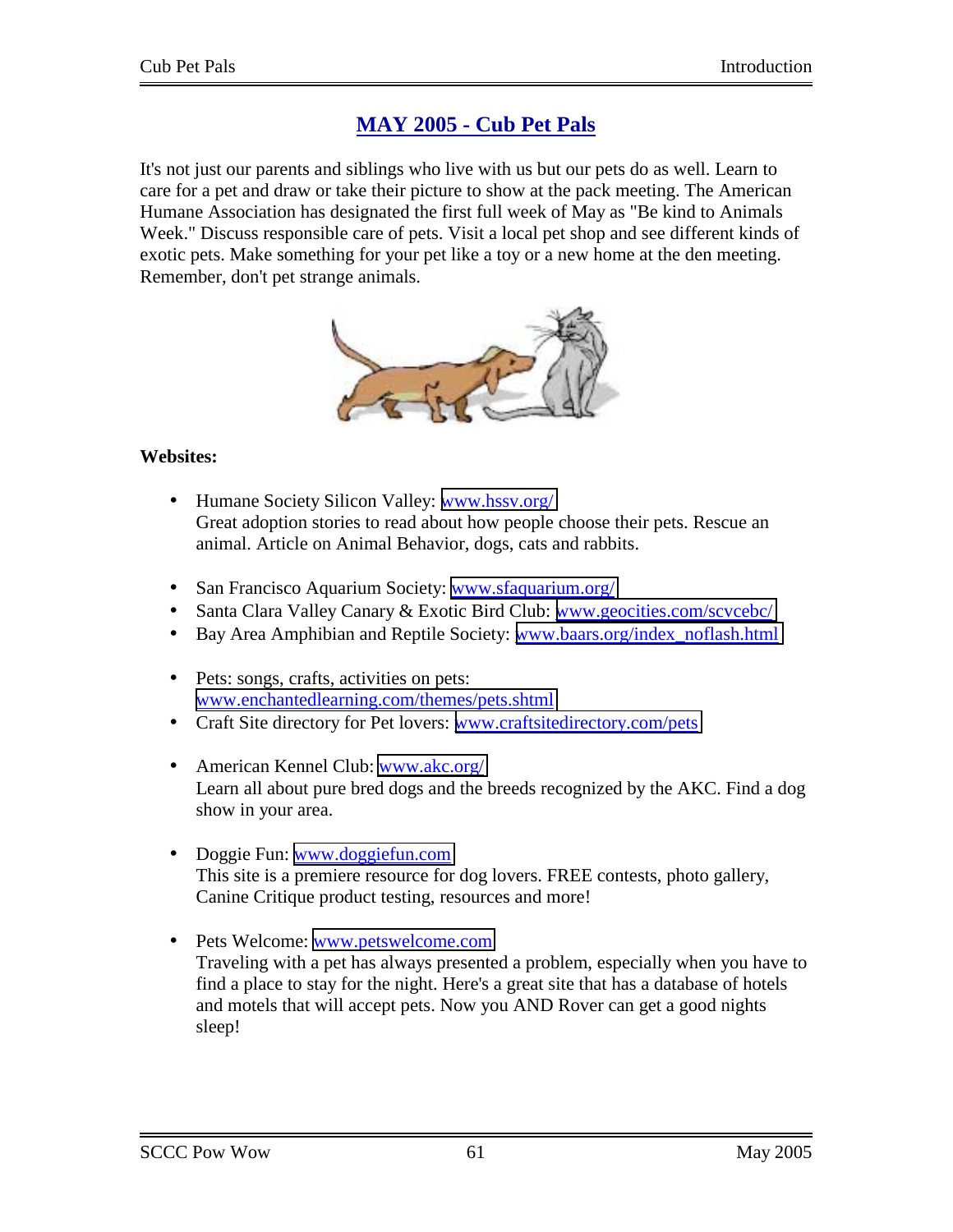# **MAY 2005 - Cub Pet Pals**

It's not just our parents and siblings who live with us but our pets do as well. Learn to care for a pet and draw or take their picture to show at the pack meeting. The American Humane Association has designated the first full week of May as "Be kind to Animals Week." Discuss responsible care of pets. Visit a local pet shop and see different kinds of exotic pets. Make something for your pet like a toy or a new home at the den meeting. Remember, don't pet strange animals.



## **Websites:**

- Humane Society Silicon Valley: [www.hssv.org/](http://www.hssv.org/) Great adoption stories to read about how people choose their pets. Rescue an animal. Article on Animal Behavior, dogs, cats and rabbits.
- San Francisco Aquarium Society: [www.sfaquarium.org/](http://www.sfaquarium.org/)
- Santa Clara Valley Canary & Exotic Bird Club: [www.geocities.com/scvcebc/](http://www.geocities.com/scvcebc/)
- Bay Area Amphibian and Reptile Society: [www.baars.org/index\\_noflash.html](http://www.baars.org/index_noflash.html)
- Pets: songs, crafts, activities on pets: [www.enchantedlearning.com/themes/pets.shtml](http://www.enchantedlearning.com/themes/pets.shtml)
- Craft Site directory for Pet lovers: www.craftsitedirectory.com/pets
- American Kennel Club: [www.akc.org/](http://www.akc.org/) Learn all about pure bred dogs and the breeds recognized by the AKC. Find a dog show in your area.
- Doggie Fun: www.doggiefun.com This site is a premiere resource for dog lovers. FREE contests, photo gallery, Canine Critique product testing, resources and more!
- Pets Welcome: [www.petswelcome.com](http://www.petswelcome.com/)  Traveling with a pet has always presented a problem, especially when you have to find a place to stay for the night. Here's a great site that has a database of hotels and motels that will accept pets. Now you AND Rover can get a good nights sleep!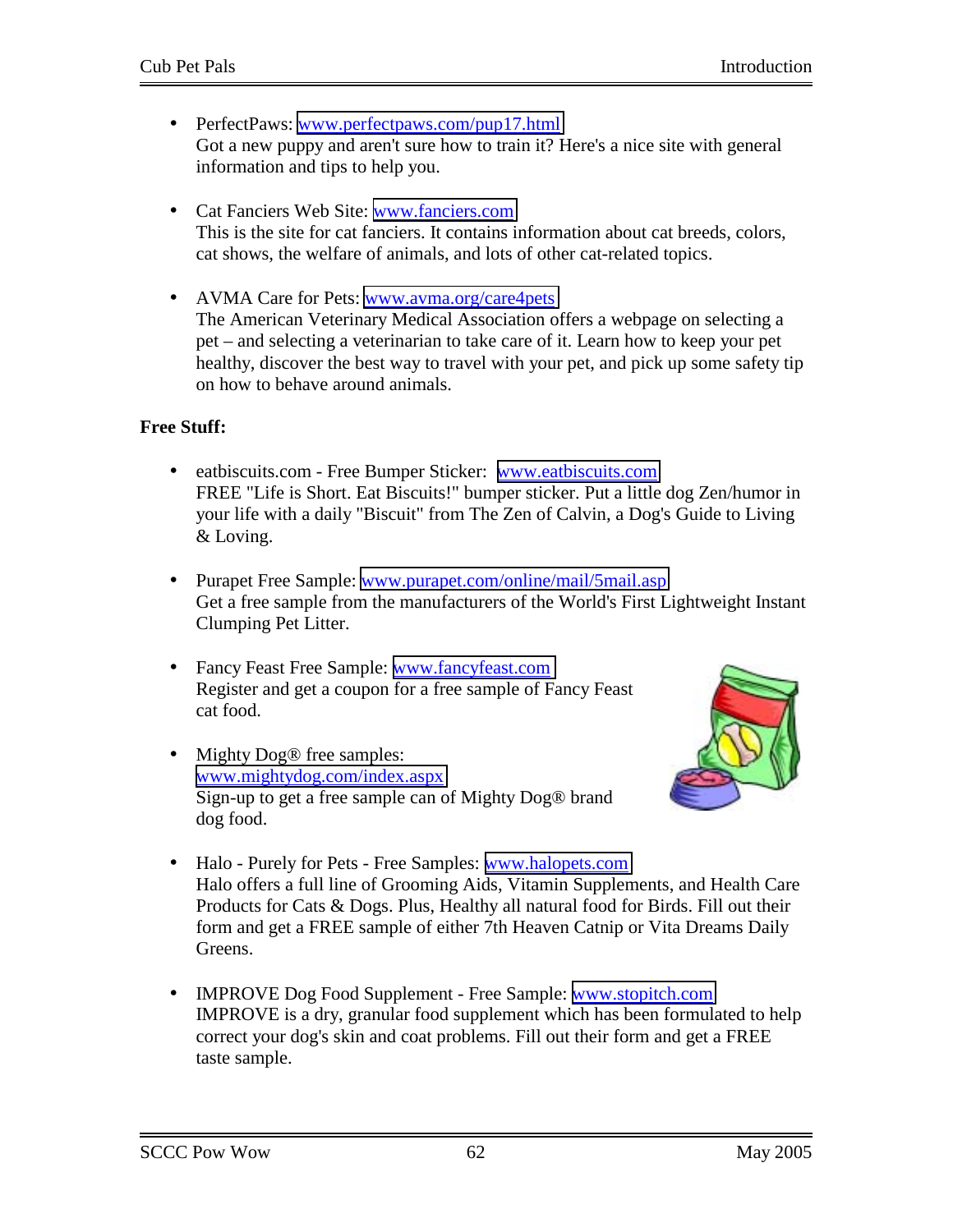- PerfectPaws: www.perfectpaws.com/pup17.html Got a new puppy and aren't sure how to train it? Here's a nice site with general information and tips to help you.
- Cat Fanciers Web Site: [www.fanciers.com](http://www.fanciers.com/) This is the site for cat fanciers. It contains information about cat breeds, colors, cat shows, the welfare of animals, and lots of other cat-related topics.
- AVMA Care for Pets: [www.avma.org/care4pets](http://www.avma.org/care4pets) The American Veterinary Medical Association offers a webpage on selecting a pet – and selecting a veterinarian to take care of it. Learn how to keep your pet healthy, discover the best way to travel with your pet, and pick up some safety tip on how to behave around animals.

## **Free Stuff:**

- eatbiscuits.com Free Bumper Sticker: www.eatbiscuits.com FREE "Life is Short. Eat Biscuits!" bumper sticker. Put a little dog Zen/humor in your life with a daily "Biscuit" from The Zen of Calvin, a Dog's Guide to Living & Loving.
- Purapet Free Sample: www.purapet.com/online/mail/5mail.asp Get a free sample from the manufacturers of the World's First Lightweight Instant Clumping Pet Litter.
- Fancy Feast Free Sample: [www.fancyfeast.com](http://www.fancyfeast.com/)  Register and get a coupon for a free sample of Fancy Feast cat food.
- Mighty Dog<sup>®</sup> free samples: [www.mightydog.com/index.aspx](http://www.mightydog.com/index.aspx)  Sign-up to get a free sample can of Mighty Dog® brand dog food.



- Halo Purely for Pets Free Samples: [www.halopets.com](http://www.halopets.com/)  Halo offers a full line of Grooming Aids, Vitamin Supplements, and Health Care Products for Cats & Dogs. Plus, Healthy all natural food for Birds. Fill out their form and get a FREE sample of either 7th Heaven Catnip or Vita Dreams Daily Greens.
- IMPROVE Dog Food Supplement Free Sample: www.stopitch.com IMPROVE is a dry, granular food supplement which has been formulated to help correct your dog's skin and coat problems. Fill out their form and get a FREE taste sample.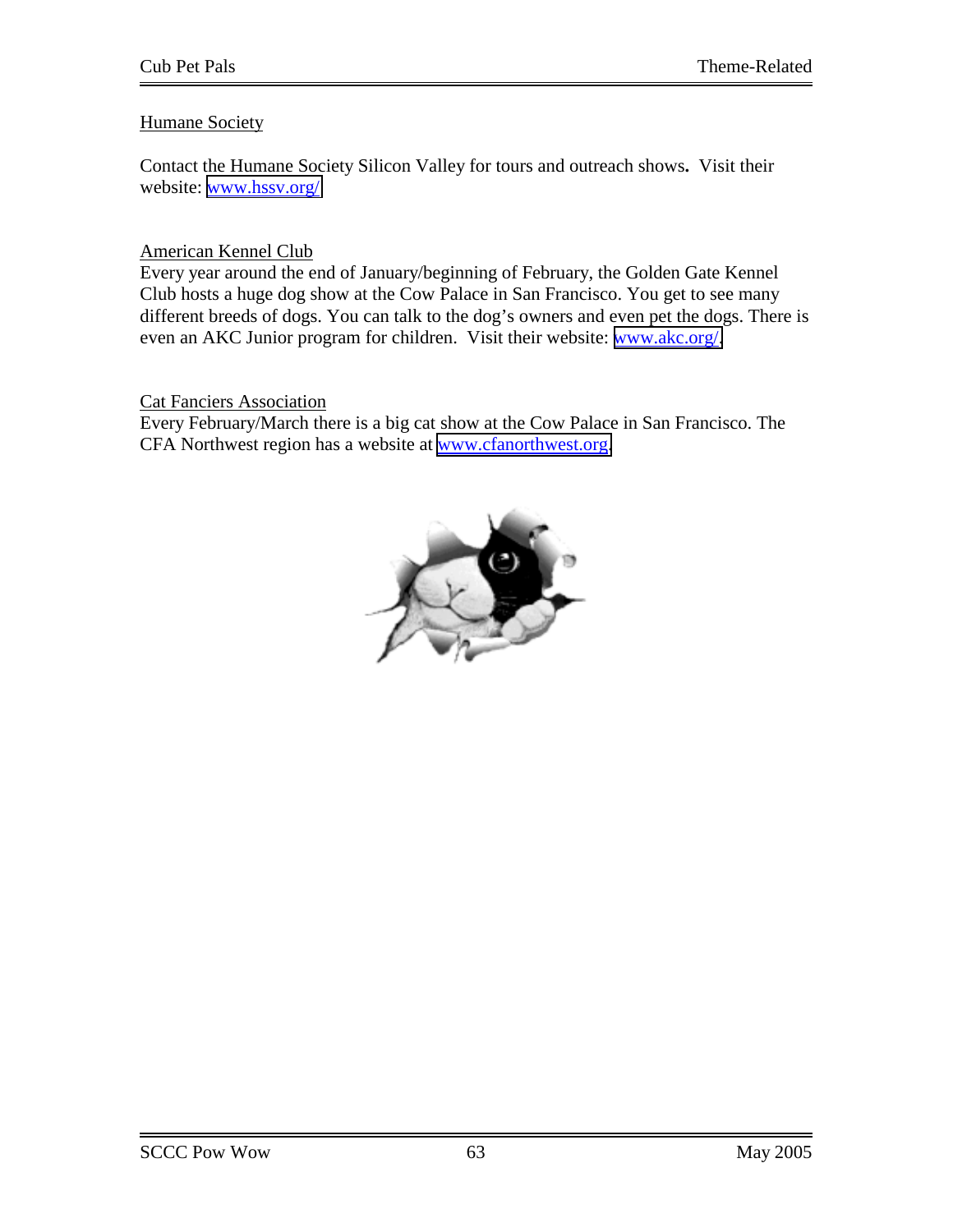## Humane Society

Contact the Humane Society Silicon Valley for tours and outreach shows**.** Visit their website: [www.hssv.org/](http://www.hssv.org/)

## American Kennel Club

Every year around the end of January/beginning of February, the Golden Gate Kennel Club hosts a huge dog show at the Cow Palace in San Francisco. You get to see many different breeds of dogs. You can talk to the dog's owners and even pet the dogs. There is even an AKC Junior program for children. Visit their website: [www.akc.org/.](http://www.akc.org/)

#### Cat Fanciers Association

Every February/March there is a big cat show at the Cow Palace in San Francisco. The CFA Northwest region has a website at [www.cfanorthwest.org.](http://www.cfanorthwest.org/)

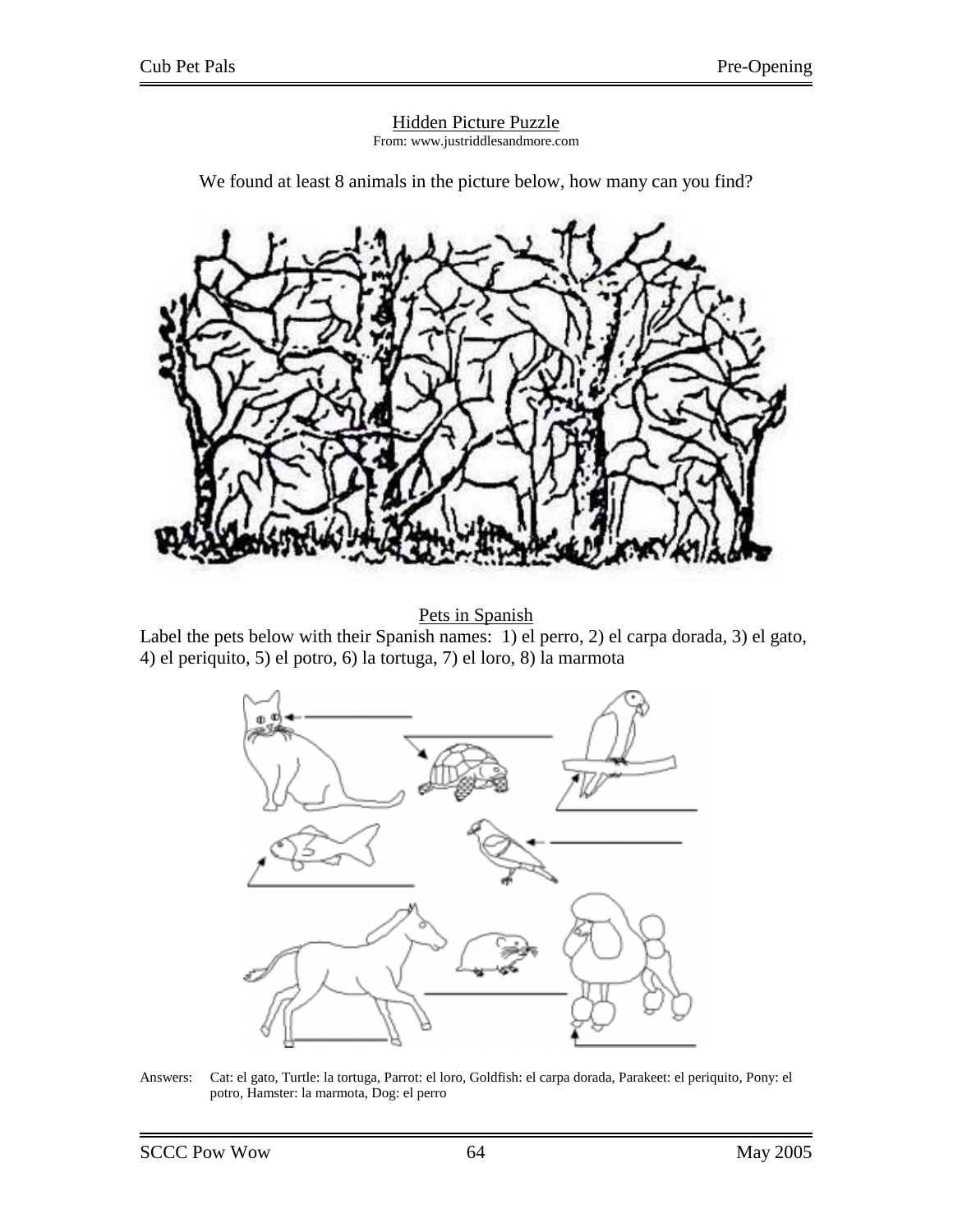

We found at least 8 animals in the picture below, how many can you find?

Pets in Spanish

Label the pets below with their Spanish names: 1) el perro, 2) el carpa dorada, 3) el gato, 4) el periquito, 5) el potro, 6) la tortuga, 7) el loro, 8) la marmota



Answers: Cat: el gato, Turtle: la tortuga, Parrot: el loro, Goldfish: el carpa dorada, Parakeet: el periquito, Pony: el potro, Hamster: la marmota, Dog: el perro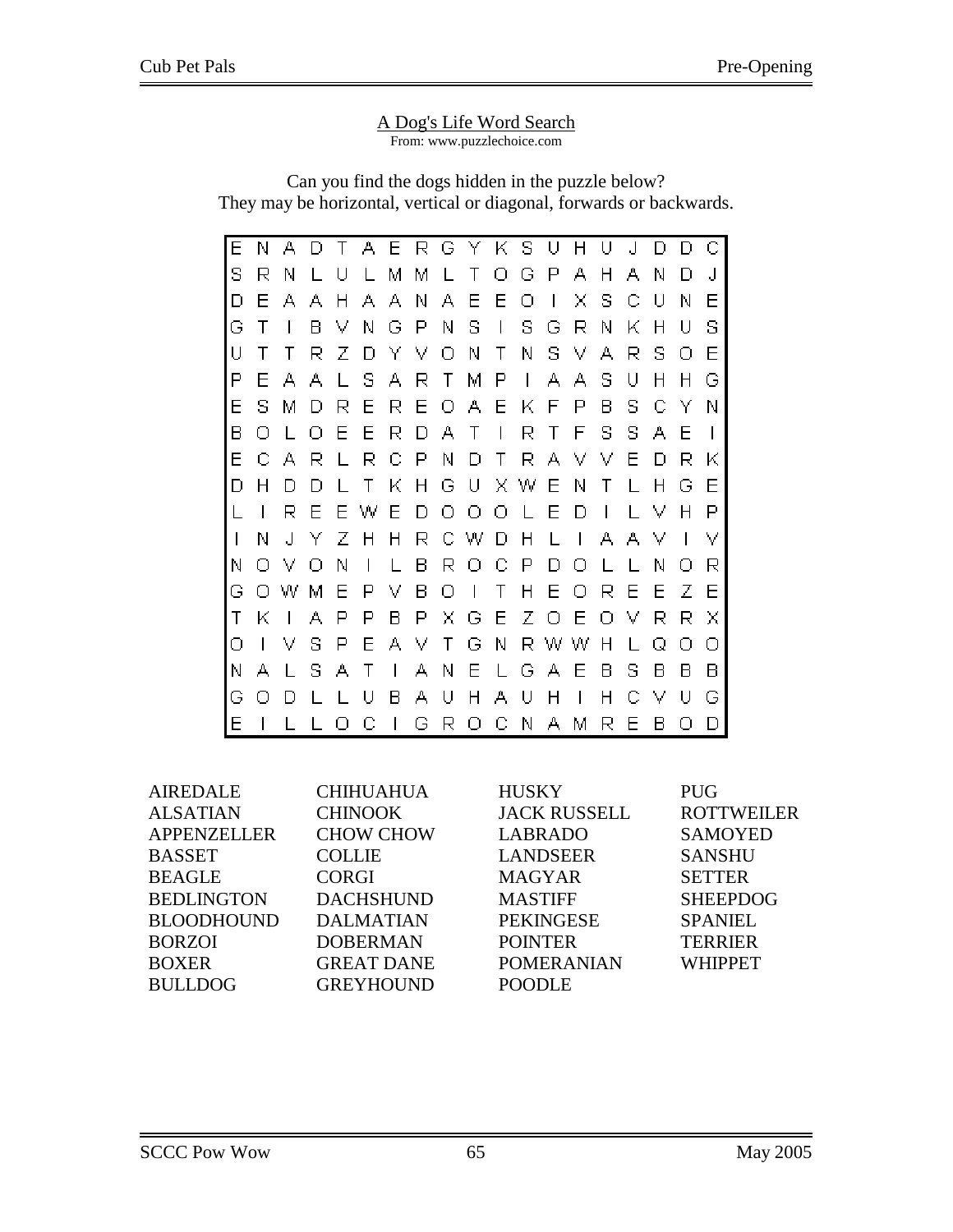#### A Dog's Life Word Search From: www.puzzlechoice.com

Can you find the dogs hidden in the puzzle below? They may be horizontal, vertical or diagonal, forwards or backwards.

| Е            | Ν | А            | Đ | Т            | А            | Е              | R | G            | Y K .   |                          | s            | U            | Н              | U                        | $\cdot$      | n | n |   |
|--------------|---|--------------|---|--------------|--------------|----------------|---|--------------|---------|--------------------------|--------------|--------------|----------------|--------------------------|--------------|---|---|---|
| s            | R | Ν            |   | U            | $\mathbf{L}$ | м              | м | $\mathbf{L}$ | Τ       | Ω                        | G            | Р            | А              | н                        | А            | Ν | Ð | J |
| D            | F | А            | А | Н            | А            | А              | Ν | А            | Ε       | Ε                        | Ο            | $\mathbf{I}$ | x              | s                        | С            | U | Ν | Ε |
| G            | Τ | L            | в | v            | Ν            | G              | Р | Ν            | s       | $\overline{\phantom{a}}$ | s            | G            | R              | Ν                        | Κ            | н | U | s |
| U            | Τ | т            | R | z            | Đ            | Y              | v | Ω            | Ν       | Τ                        | Ν            | s            | V              | А                        | R            | s | Ω | Ε |
| Ρ            | F | А            | А | L            | s            | А              | R | Τ            | М       | Р                        | $\mathbf{I}$ | А            | А              | s                        | U            | Н | н | G |
| Ε            | s | Μ            | Đ | R            | Ε            | R              | Ε | Ω            | А       | Ε                        | Κ            | F            | Р              | В                        | s            | С | Y | Ν |
| В            | Ω |              | Ω | Е            | Е            | R              | Đ | А            | Τ       | $\mathbf{I}$             | R            | Τ            | F              | s                        | s            | А | Е |   |
| Ε            | С | А            | R | L            | R            | С              | Р | Ν            | D       | Τ                        | R.           | А            | v              | v                        | Ε            | D | R | Κ |
| D            | н | D            | D |              | Τ            | Κ              | Н | G            | - U     |                          | ΧW           | E            | Ν              | Τ                        | $\mathbf{I}$ | Н | G | F |
|              | I | R            | F | F            | w            | Е              | Đ | Ω            | Ω       | О                        | $\mathbf{L}$ | Ε            | D              | $\overline{\phantom{a}}$ | $\mathbf{L}$ | v | н | Р |
| $\mathsf{I}$ | Ν | J            | Y | Ζ            | н            | Н              | R | С            | W       | D                        | Η            | L            | $\overline{1}$ | А                        | А            | v | I | v |
| Ν            | Ω | v            | Ω | Ν            | I            | L              | в | R            | Ο       | С                        | Р            | D            | О              | L                        | $\mathbf{L}$ | Ν | Ω | R |
| G            | Ω | w            | М | Ε            | P            | v              | В | Ο            | $\perp$ | Τ                        | н            | Ε            | О              | R                        | Ε            | Ε | Ζ | Е |
| Τ            | Κ | $\mathbf{I}$ | А | Р            | Р            | в              | Ρ | x            | G       | Ε                        |              | ΖO           | E              | Ω                        | v            | R | R | Χ |
| Ο            | L | v            | s | Р            | Ε            | А              | V | Τ            | G       | Ν                        |              | R W W        |                | Н                        | $\mathbf{L}$ | Q | Ω | O |
| Ν            | А | L            | s | А            | Τ            | $\overline{1}$ | А | Ν            | Ε       | L                        |              | GА           | Ε              | в                        | s            | в | в | В |
| G            | Ω | Đ            |   | $\mathbf{L}$ | U            | в              | А | U            | Н       | А                        | U            | H            | $\mathsf{I}$   | Η                        | С            | v | U | G |
| Ε            | L |              |   | Ω            | С            | I              | G | R.           | О       | С                        | N.           | А            | Μ              | R                        | Ε            | в | O |   |

|                   |                     | <b>PUG</b>        |
|-------------------|---------------------|-------------------|
| <b>CHINOOK</b>    | <b>JACK RUSSELL</b> | <b>ROTTWEILER</b> |
| <b>CHOW CHOW</b>  | <b>LABRADO</b>      | <b>SAMOYED</b>    |
| <b>COLLIE</b>     | <b>LANDSEER</b>     | <b>SANSHU</b>     |
| <b>CORGI</b>      | <b>MAGYAR</b>       | <b>SETTER</b>     |
| <b>DACHSHUND</b>  | <b>MASTIFF</b>      | <b>SHEEPDOG</b>   |
| <b>DALMATIAN</b>  | <b>PEKINGESE</b>    | <b>SPANIEL</b>    |
| <b>DOBERMAN</b>   | <b>POINTER</b>      | <b>TERRIER</b>    |
| <b>GREAT DANE</b> | <b>POMERANIAN</b>   | <b>WHIPPET</b>    |
| <b>GREYHOUND</b>  | <b>POODLE</b>       |                   |
|                   | <b>CHIHUAHUA</b>    | <b>HUSKY</b>      |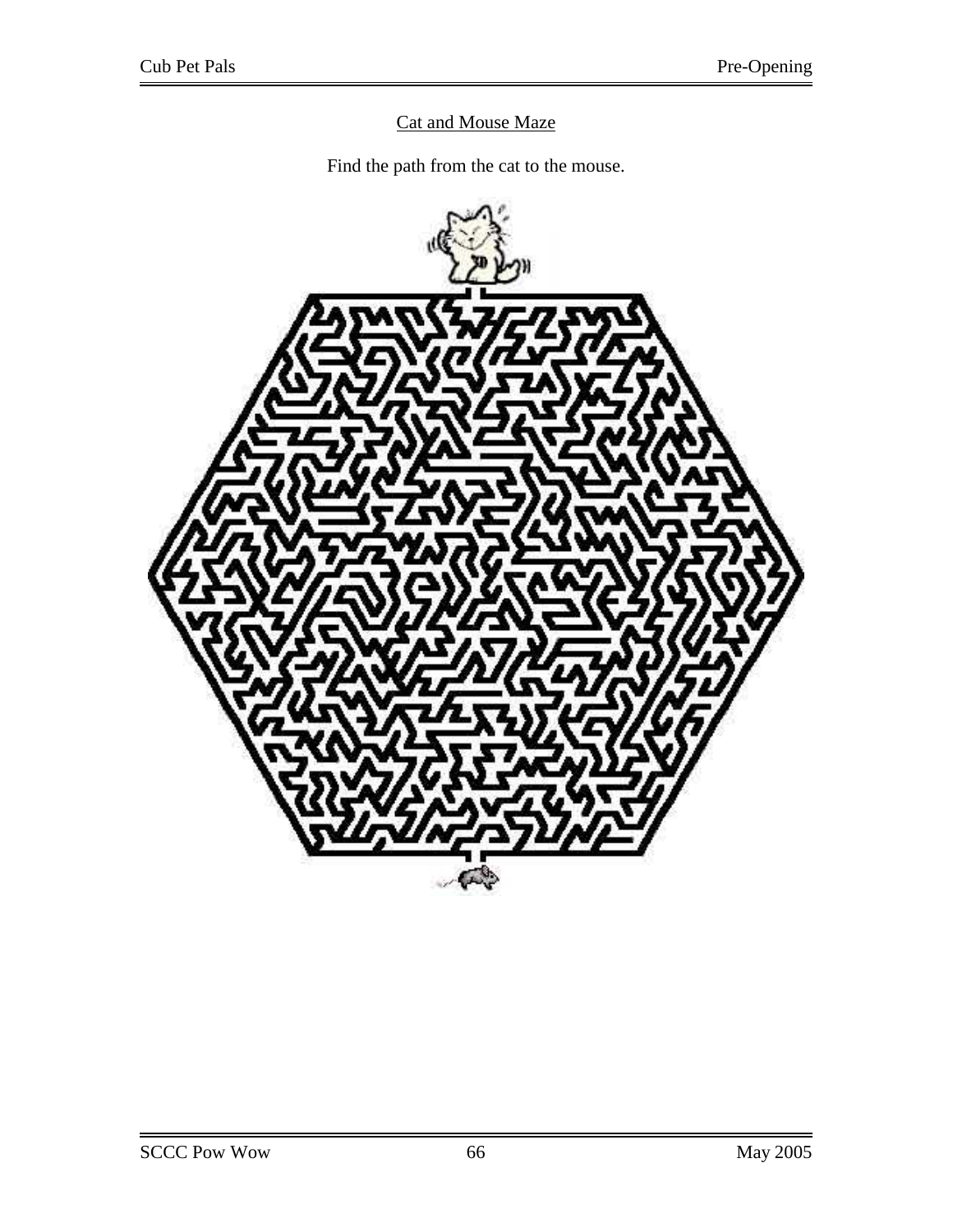# Cat and Mouse Maze

Find the path from the cat to the mouse.

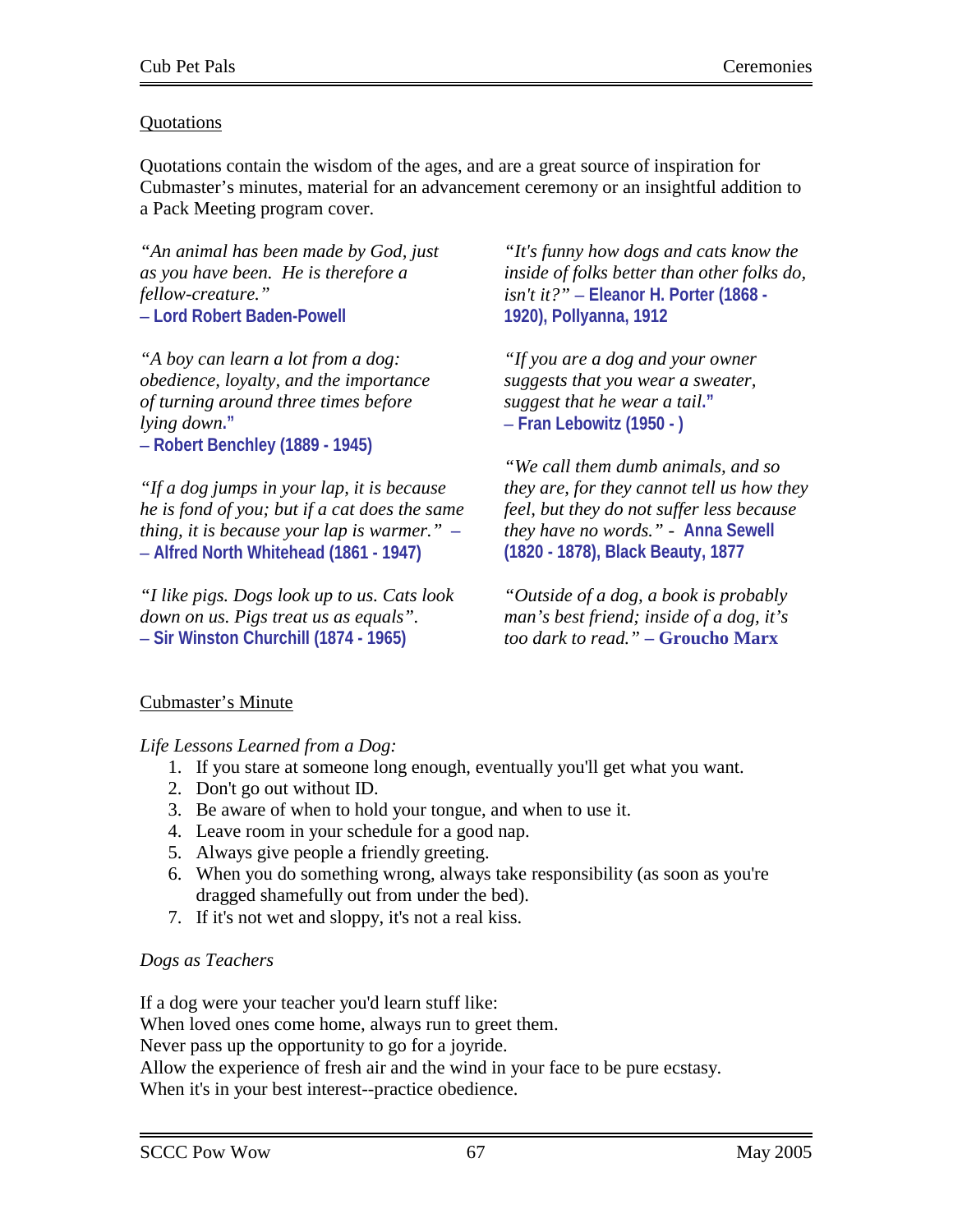## **Ouotations**

Quotations contain the wisdom of the ages, and are a great source of inspiration for Cubmaster's minutes, material for an advancement ceremony or an insightful addition to a Pack Meeting program cover.

*"An animal has been made by God, just as you have been. He is therefore a fellow-creature."* **– Lord Robert Baden-Powell**

*"A boy can learn a lot from a dog: obedience, loyalty, and the importance of turning around three times before lying down***." – Robert Benchley (1889 - 1945)** 

*"If a dog jumps in your lap, it is because he is fond of you; but if a cat does the same thing, it is because your lap is warmer."* **– – Alfred North Whitehead (1861 - 1947)** 

*"I like pigs. Dogs look up to us. Cats look down on us. Pigs treat us as equals".*  **– Sir Winston Churchill (1874 - 1965)** 

*"It's funny how dogs and cats know the inside of folks better than other folks do, isn't it?"* **– Eleanor H. Porter (1868 - 1920), Pollyanna, 1912**

*"If you are a dog and your owner suggests that you wear a sweater, suggest that he wear a tail***." – Fran Lebowitz (1950 - )** 

*"We call them dumb animals, and so they are, for they cannot tell us how they feel, but they do not suffer less because they have no words." -* **Anna Sewell (1820 - 1878), Black Beauty, 1877** 

*"Outside of a dog, a book is probably man's best friend; inside of a dog, it's too dark to read."* **– Groucho Marx**

# Cubmaster's Minute

*Life Lessons Learned from a Dog:*

- 1. If you stare at someone long enough, eventually you'll get what you want.
- 2. Don't go out without ID.
- 3. Be aware of when to hold your tongue, and when to use it.
- 4. Leave room in your schedule for a good nap.
- 5. Always give people a friendly greeting.
- 6. When you do something wrong, always take responsibility (as soon as you're dragged shamefully out from under the bed).
- 7. If it's not wet and sloppy, it's not a real kiss.

# *Dogs as Teachers*

If a dog were your teacher you'd learn stuff like: When loved ones come home, always run to greet them. Never pass up the opportunity to go for a joyride. Allow the experience of fresh air and the wind in your face to be pure ecstasy. When it's in your best interest--practice obedience.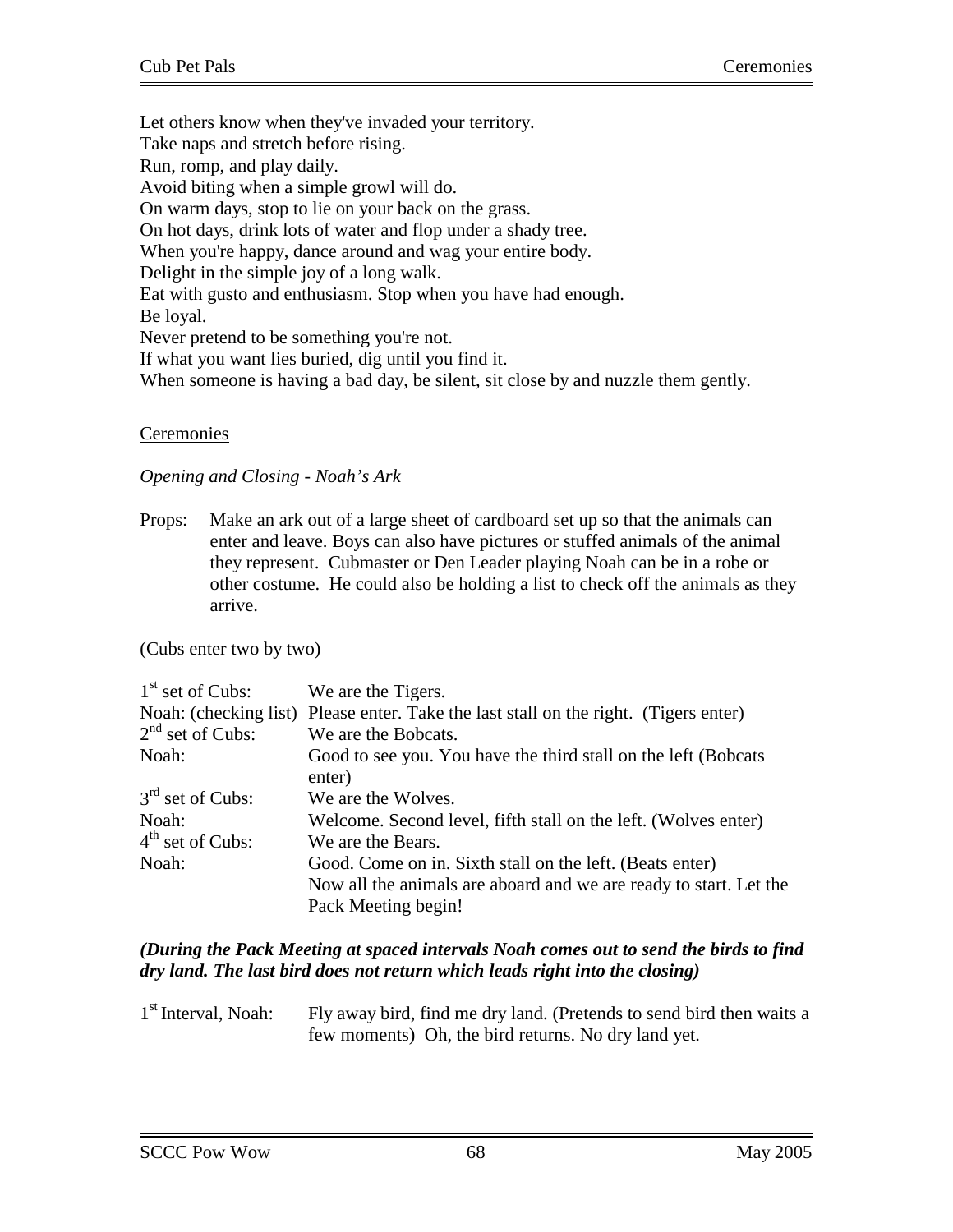Let others know when they've invaded your territory. Take naps and stretch before rising. Run, romp, and play daily. Avoid biting when a simple growl will do. On warm days, stop to lie on your back on the grass. On hot days, drink lots of water and flop under a shady tree. When you're happy, dance around and wag your entire body. Delight in the simple joy of a long walk. Eat with gusto and enthusiasm. Stop when you have had enough. Be loyal. Never pretend to be something you're not. If what you want lies buried, dig until you find it. When someone is having a bad day, be silent, sit close by and nuzzle them gently.

## Ceremonies

#### *Opening and Closing - Noah's Ark*

Props: Make an ark out of a large sheet of cardboard set up so that the animals can enter and leave. Boys can also have pictures or stuffed animals of the animal they represent. Cubmaster or Den Leader playing Noah can be in a robe or other costume. He could also be holding a list to check off the animals as they arrive.

(Cubs enter two by two)

| $1st$ set of Cubs: | We are the Tigers.                                                                   |
|--------------------|--------------------------------------------------------------------------------------|
|                    | Noah: (checking list) Please enter. Take the last stall on the right. (Tigers enter) |
| $2nd$ set of Cubs: | We are the Bobcats.                                                                  |
| Noah:              | Good to see you. You have the third stall on the left (Bobcats                       |
|                    | enter)                                                                               |
| $3rd$ set of Cubs: | We are the Wolves.                                                                   |
| Noah:              | Welcome. Second level, fifth stall on the left. (Wolves enter)                       |
| $4th$ set of Cubs: | We are the Bears.                                                                    |
| Noah:              | Good. Come on in. Sixth stall on the left. (Beats enter)                             |
|                    | Now all the animals are aboard and we are ready to start. Let the                    |
|                    | Pack Meeting begin!                                                                  |

## *(During the Pack Meeting at spaced intervals Noah comes out to send the birds to find dry land. The last bird does not return which leads right into the closing)*

1<sup>st</sup> Interval, Noah: Fly away bird, find me dry land. (Pretends to send bird then waits a few moments) Oh, the bird returns. No dry land yet.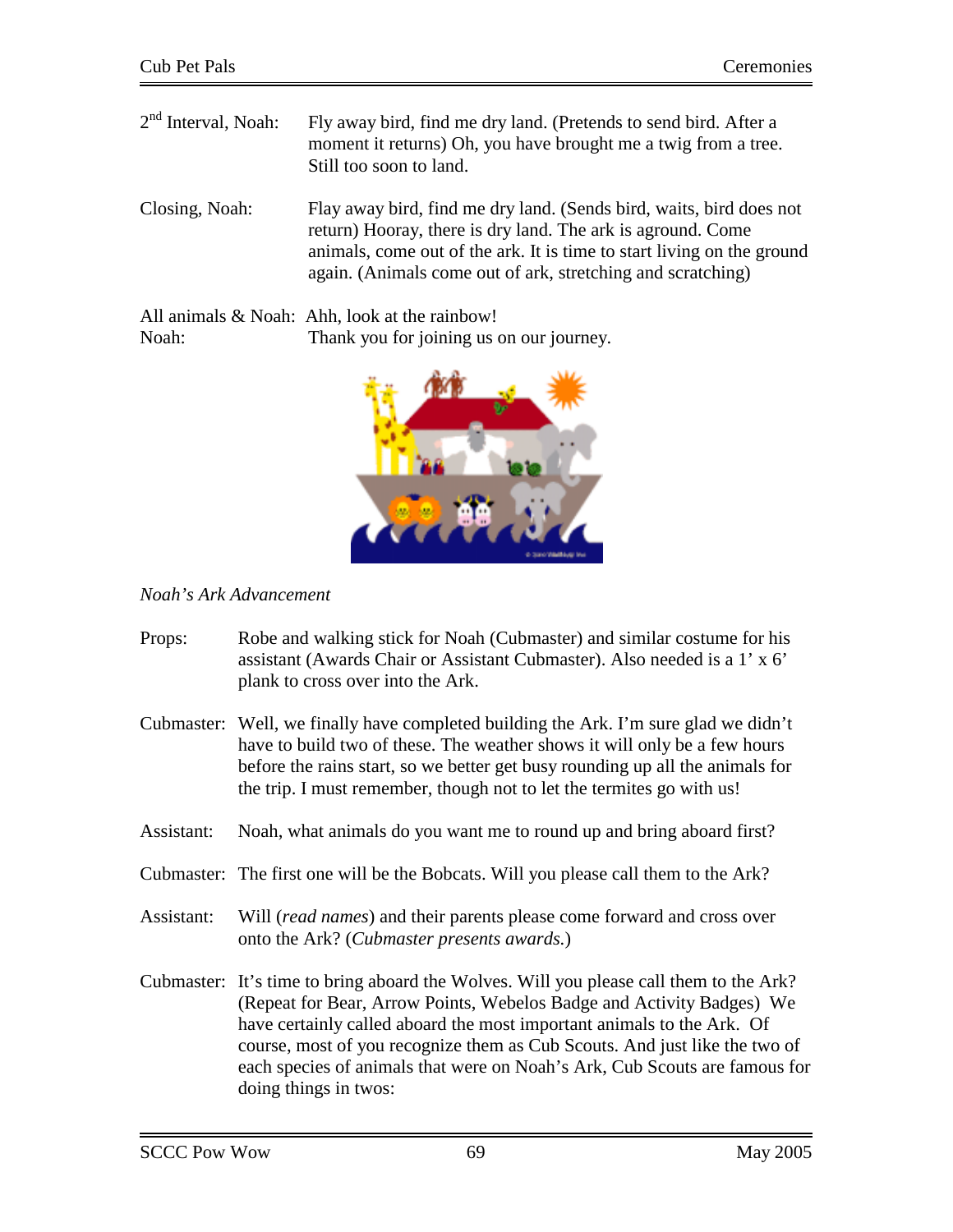| $2nd$ Interval, Noah: | Fly away bird, find me dry land. (Pretends to send bird. After a<br>moment it returns) Oh, you have brought me a twig from a tree.<br>Still too soon to land.                                                                                                               |
|-----------------------|-----------------------------------------------------------------------------------------------------------------------------------------------------------------------------------------------------------------------------------------------------------------------------|
| Closing, Noah:        | Flay away bird, find me dry land. (Sends bird, waits, bird does not<br>return) Hooray, there is dry land. The ark is aground. Come<br>animals, come out of the ark. It is time to start living on the ground<br>again. (Animals come out of ark, stretching and scratching) |
|                       | All animals & Noah: Ahh, look at the rainbow!                                                                                                                                                                                                                               |

Noah: Thank you for joining us on our journey.



# *Noah's Ark Advancement*

| Props:     | Robe and walking stick for Noah (Cubmaster) and similar costume for his<br>assistant (Awards Chair or Assistant Cubmaster). Also needed is a 1' x 6'<br>plank to cross over into the Ark.                                                                                                                                                                                                                                      |
|------------|--------------------------------------------------------------------------------------------------------------------------------------------------------------------------------------------------------------------------------------------------------------------------------------------------------------------------------------------------------------------------------------------------------------------------------|
| Cubmaster: | Well, we finally have completed building the Ark. I'm sure glad we didn't<br>have to build two of these. The weather shows it will only be a few hours<br>before the rains start, so we better get busy rounding up all the animals for<br>the trip. I must remember, though not to let the termites go with us!                                                                                                               |
| Assistant: | Noah, what animals do you want me to round up and bring aboard first?                                                                                                                                                                                                                                                                                                                                                          |
|            | Cubmaster: The first one will be the Bobcats. Will you please call them to the Ark?                                                                                                                                                                                                                                                                                                                                            |
| Assistant: | Will (read names) and their parents please come forward and cross over<br>onto the Ark? ( <i>Cubmaster presents awards</i> .)                                                                                                                                                                                                                                                                                                  |
|            | Cubmaster: It's time to bring aboard the Wolves. Will you please call them to the Ark?<br>(Repeat for Bear, Arrow Points, Webelos Badge and Activity Badges) We<br>have certainly called aboard the most important animals to the Ark. Of<br>course, most of you recognize them as Cub Scouts. And just like the two of<br>each species of animals that were on Noah's Ark, Cub Scouts are famous for<br>doing things in twos: |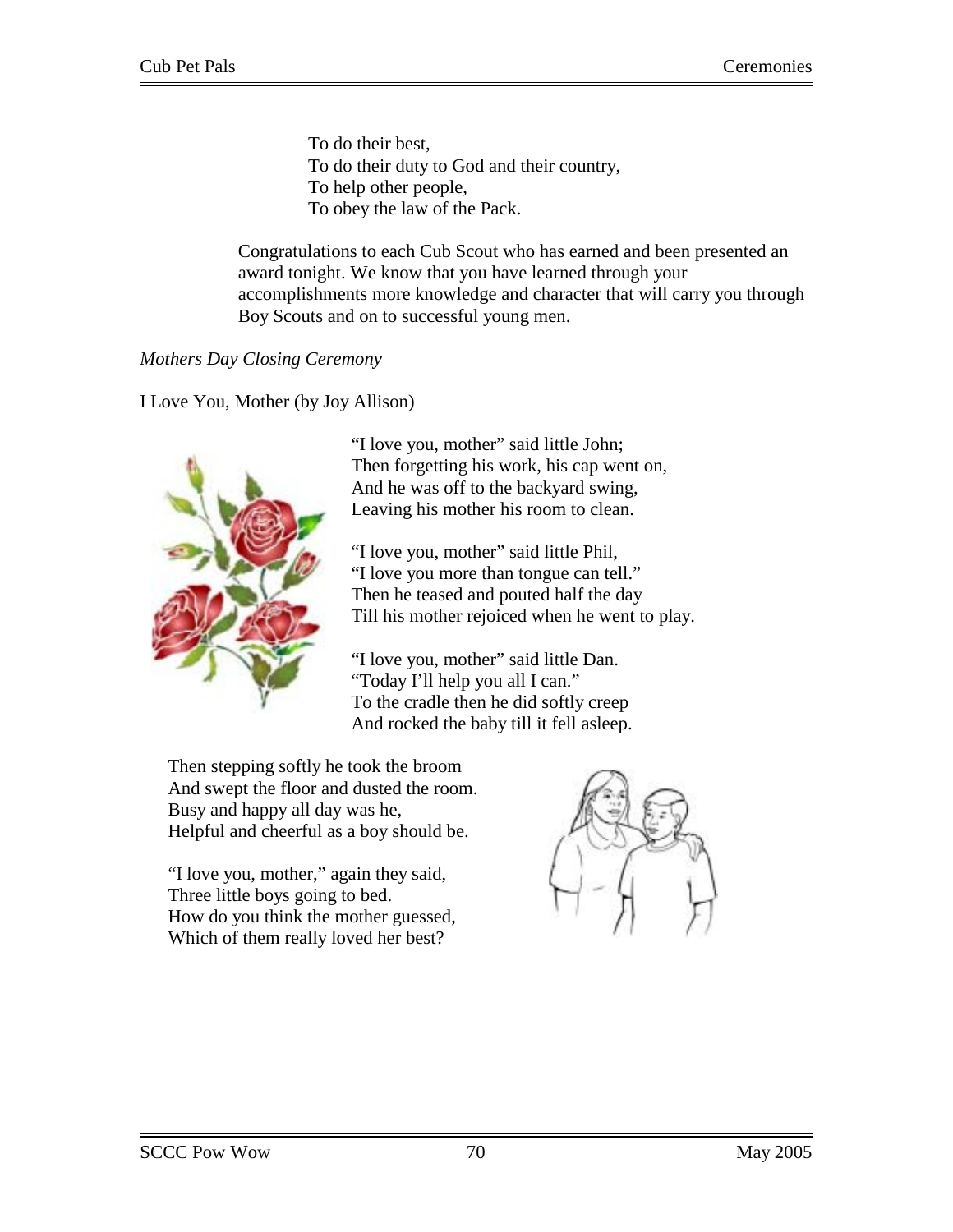To do their best, To do their duty to God and their country, To help other people, To obey the law of the Pack.

Congratulations to each Cub Scout who has earned and been presented an award tonight. We know that you have learned through your accomplishments more knowledge and character that will carry you through Boy Scouts and on to successful young men.

*Mothers Day Closing Ceremony* 

I Love You, Mother (by Joy Allison)



"I love you, mother" said little John; Then forgetting his work, his cap went on, And he was off to the backyard swing, Leaving his mother his room to clean.

"I love you, mother" said little Phil, "I love you more than tongue can tell." Then he teased and pouted half the day Till his mother rejoiced when he went to play.

"I love you, mother" said little Dan. "Today I'll help you all I can." To the cradle then he did softly creep And rocked the baby till it fell asleep.

Then stepping softly he took the broom And swept the floor and dusted the room. Busy and happy all day was he, Helpful and cheerful as a boy should be.

"I love you, mother," again they said, Three little boys going to bed. How do you think the mother guessed, Which of them really loved her best?

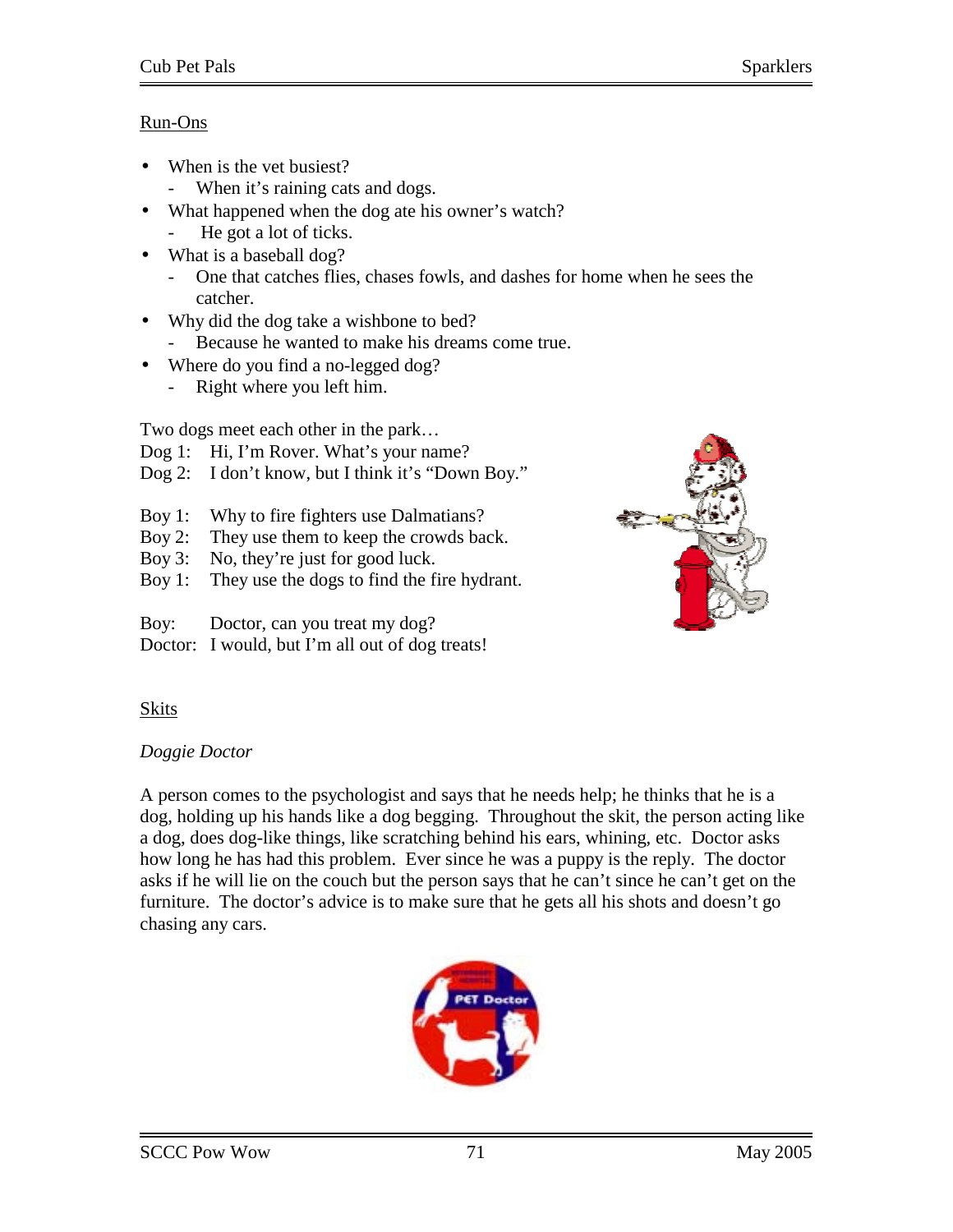## Run-Ons

- When is the vet busiest?
	- When it's raining cats and dogs.
- What happened when the dog ate his owner's watch?
	- He got a lot of ticks.
- What is a baseball dog?
	- One that catches flies, chases fowls, and dashes for home when he sees the catcher.
- Why did the dog take a wishbone to bed?
	- Because he wanted to make his dreams come true.
- Where do you find a no-legged dog?
	- Right where you left him.

Two dogs meet each other in the park…

- Dog 1: Hi, I'm Rover. What's your name?
- Dog 2: I don't know, but I think it's "Down Boy."
- Boy 1: Why to fire fighters use Dalmatians?
- Boy 2: They use them to keep the crowds back.
- Boy 3: No, they're just for good luck.
- Boy 1: They use the dogs to find the fire hydrant.
- Boy: Doctor, can you treat my dog?
- Doctor: I would, but I'm all out of dog treats!



# **Skits**

## *Doggie Doctor*

A person comes to the psychologist and says that he needs help; he thinks that he is a dog, holding up his hands like a dog begging. Throughout the skit, the person acting like a dog, does dog-like things, like scratching behind his ears, whining, etc. Doctor asks how long he has had this problem. Ever since he was a puppy is the reply. The doctor asks if he will lie on the couch but the person says that he can't since he can't get on the furniture. The doctor's advice is to make sure that he gets all his shots and doesn't go chasing any cars.

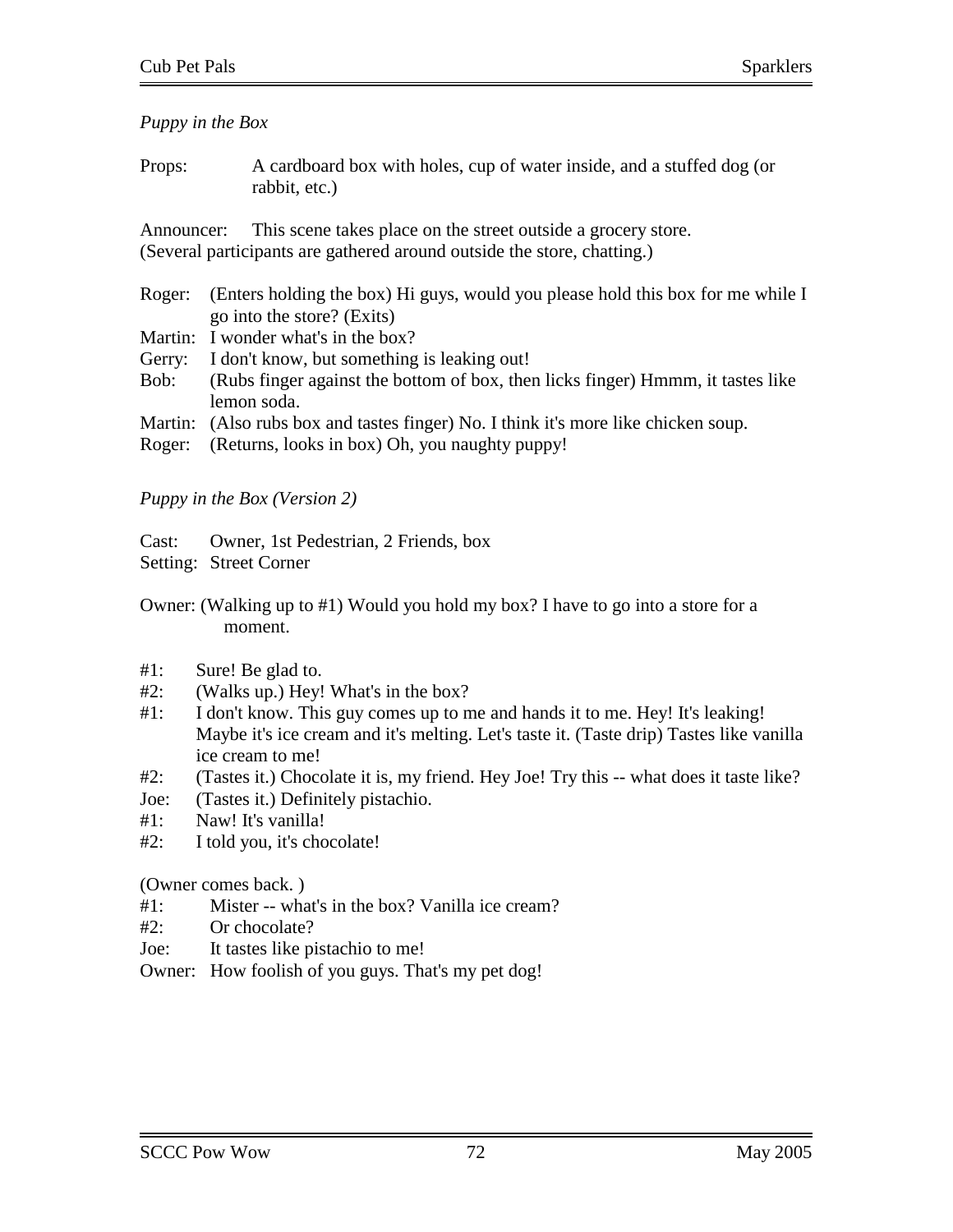*Puppy in the Box* 

Props: A cardboard box with holes, cup of water inside, and a stuffed dog (or rabbit, etc.)

Announcer: This scene takes place on the street outside a grocery store. (Several participants are gathered around outside the store, chatting.)

- Roger: (Enters holding the box) Hi guys, would you please hold this box for me while I go into the store? (Exits)
- Martin: I wonder what's in the box?
- Gerry: I don't know, but something is leaking out!
- Bob: (Rubs finger against the bottom of box, then licks finger) Hmmm, it tastes like lemon soda.
- Martin: (Also rubs box and tastes finger) No. I think it's more like chicken soup.
- Roger: (Returns, looks in box) Oh, you naughty puppy!

## *Puppy in the Box (Version 2)*

Cast: Owner, 1st Pedestrian, 2 Friends, box

Setting: Street Corner

Owner: (Walking up to #1) Would you hold my box? I have to go into a store for a moment.

- #1: Sure! Be glad to.
- #2: (Walks up.) Hey! What's in the box?
- #1: I don't know. This guy comes up to me and hands it to me. Hey! It's leaking! Maybe it's ice cream and it's melting. Let's taste it. (Taste drip) Tastes like vanilla ice cream to me!
- #2: (Tastes it.) Chocolate it is, my friend. Hey Joe! Try this -- what does it taste like?
- Joe: (Tastes it.) Definitely pistachio.
- #1: Naw! It's vanilla!
- #2: I told you, it's chocolate!

(Owner comes back. )

- #1: Mister -- what's in the box? Vanilla ice cream?
- $#2$ : Or chocolate?
- Joe: It tastes like pistachio to me!
- Owner: How foolish of you guys. That's my pet dog!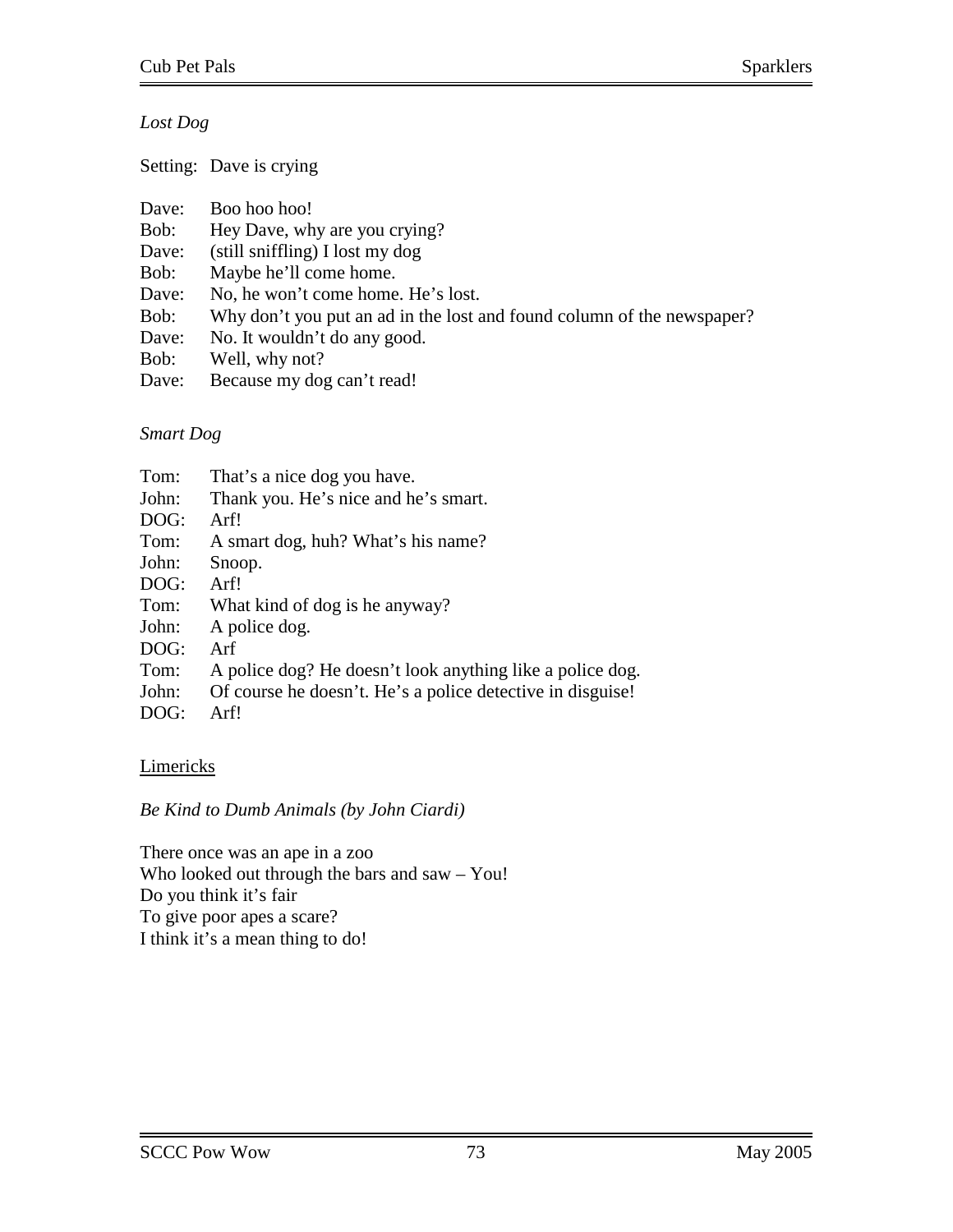# *Lost Dog*

Setting: Dave is crying

| Boo hoo hoo!<br>Dave:                                                          |  |
|--------------------------------------------------------------------------------|--|
| Hey Dave, why are you crying?<br>Bob:                                          |  |
| $(\text{still} \text{sniffling})$ I lost my dog<br>Dave:                       |  |
| Maybe he'll come home.<br>Bob:                                                 |  |
| No, he won't come home. He's lost.<br>Dave:                                    |  |
| Why don't you put an ad in the lost and found column of the newspaper?<br>Bob: |  |
| No. It wouldn't do any good.<br>Dave:                                          |  |
| Well, why not?<br>Bob:                                                         |  |
| Because my dog can't read!<br>Dave:                                            |  |

## *Smart Dog*

| Tom:  | That's a nice dog you have.                                |
|-------|------------------------------------------------------------|
| John: | Thank you. He's nice and he's smart.                       |
| DOG:  | Arf!                                                       |
| Tom:  | A smart dog, huh? What's his name?                         |
| John: | Snoop.                                                     |
| DOG:  | Arf!                                                       |
| Tom:  | What kind of dog is he anyway?                             |
| John: | A police dog.                                              |
| DOG:  | Arf                                                        |
| Tom:  | A police dog? He doesn't look anything like a police dog.  |
| John: | Of course he doesn't. He's a police detective in disguise! |
| DOG:  | Arf!                                                       |

# **Limericks**

*Be Kind to Dumb Animals (by John Ciardi)* 

There once was an ape in a zoo Who looked out through the bars and saw – You! Do you think it's fair To give poor apes a scare? I think it's a mean thing to do!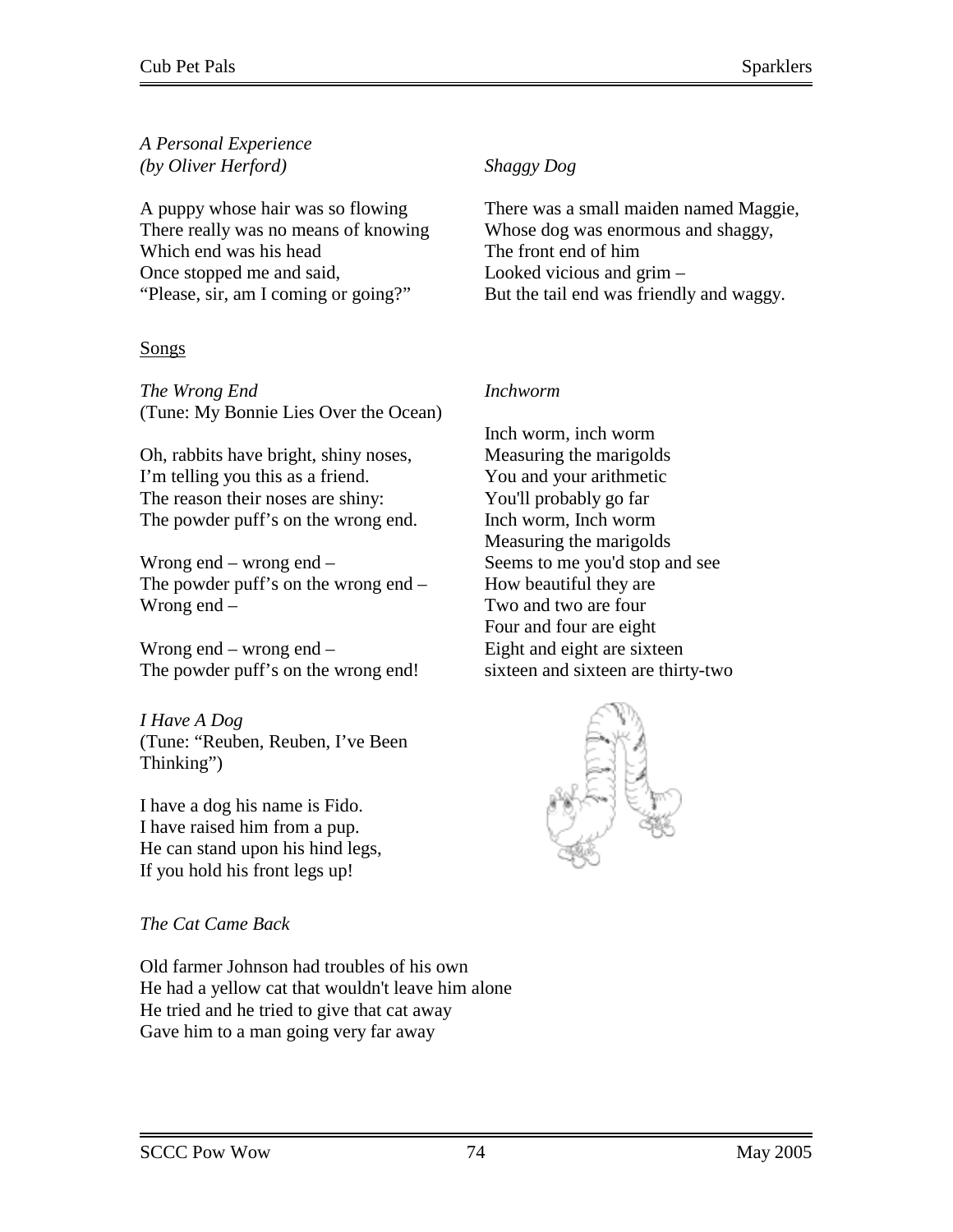## *A Personal Experience (by Oliver Herford)*

A puppy whose hair was so flowing There really was no means of knowing Which end was his head Once stopped me and said, "Please, sir, am I coming or going?"

# **Songs**

*The Wrong End*  (Tune: My Bonnie Lies Over the Ocean)

Oh, rabbits have bright, shiny noses, I'm telling you this as a friend. The reason their noses are shiny: The powder puff's on the wrong end.

Wrong end – wrong end – The powder puff's on the wrong end – Wrong end –

Wrong end – wrong end – The powder puff's on the wrong end!

*I Have A Dog*  (Tune: "Reuben, Reuben, I've Been Thinking")

I have a dog his name is Fido. I have raised him from a pup. He can stand upon his hind legs, If you hold his front legs up!

# *The Cat Came Back*

Old farmer Johnson had troubles of his own He had a yellow cat that wouldn't leave him alone He tried and he tried to give that cat away Gave him to a man going very far away

# *Shaggy Dog*

There was a small maiden named Maggie, Whose dog was enormous and shaggy, The front end of him Looked vicious and grim – But the tail end was friendly and waggy.

# *Inchworm*

Inch worm, inch worm Measuring the marigolds You and your arithmetic You'll probably go far Inch worm, Inch worm Measuring the marigolds Seems to me you'd stop and see How beautiful they are Two and two are four Four and four are eight Eight and eight are sixteen sixteen and sixteen are thirty-two

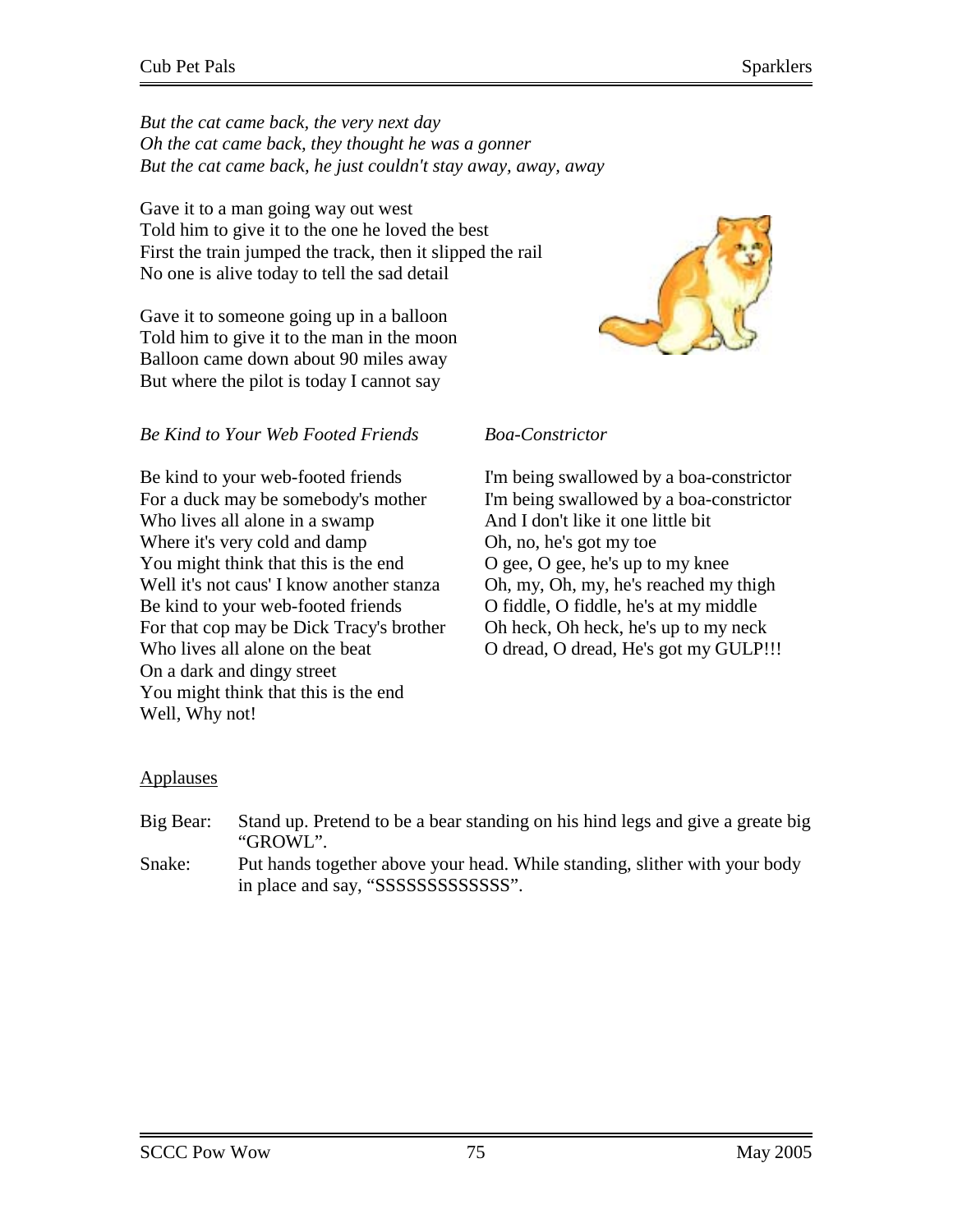*But the cat came back, the very next day Oh the cat came back, they thought he was a gonner But the cat came back, he just couldn't stay away, away, away*

Gave it to a man going way out west Told him to give it to the one he loved the best First the train jumped the track, then it slipped the rail No one is alive today to tell the sad detail

Gave it to someone going up in a balloon Told him to give it to the man in the moon Balloon came down about 90 miles away But where the pilot is today I cannot say



Be kind to your web-footed friends For a duck may be somebody's mother Who lives all alone in a swamp Where it's very cold and damp You might think that this is the end Well it's not caus' I know another stanza Be kind to your web-footed friends For that cop may be Dick Tracy's brother Who lives all alone on the beat On a dark and dingy street You might think that this is the end Well, Why not!



# *Boa-Constrictor*

I'm being swallowed by a boa-constrictor I'm being swallowed by a boa-constrictor And I don't like it one little bit Oh, no, he's got my toe O gee, O gee, he's up to my knee Oh, my, Oh, my, he's reached my thigh O fiddle, O fiddle, he's at my middle Oh heck, Oh heck, he's up to my neck O dread, O dread, He's got my GULP!!!

## Applauses

Big Bear: Stand up. Pretend to be a bear standing on his hind legs and give a greate big "GROWL". Snake: Put hands together above your head. While standing, slither with your body in place and say, "SSSSSSSSSSSSS".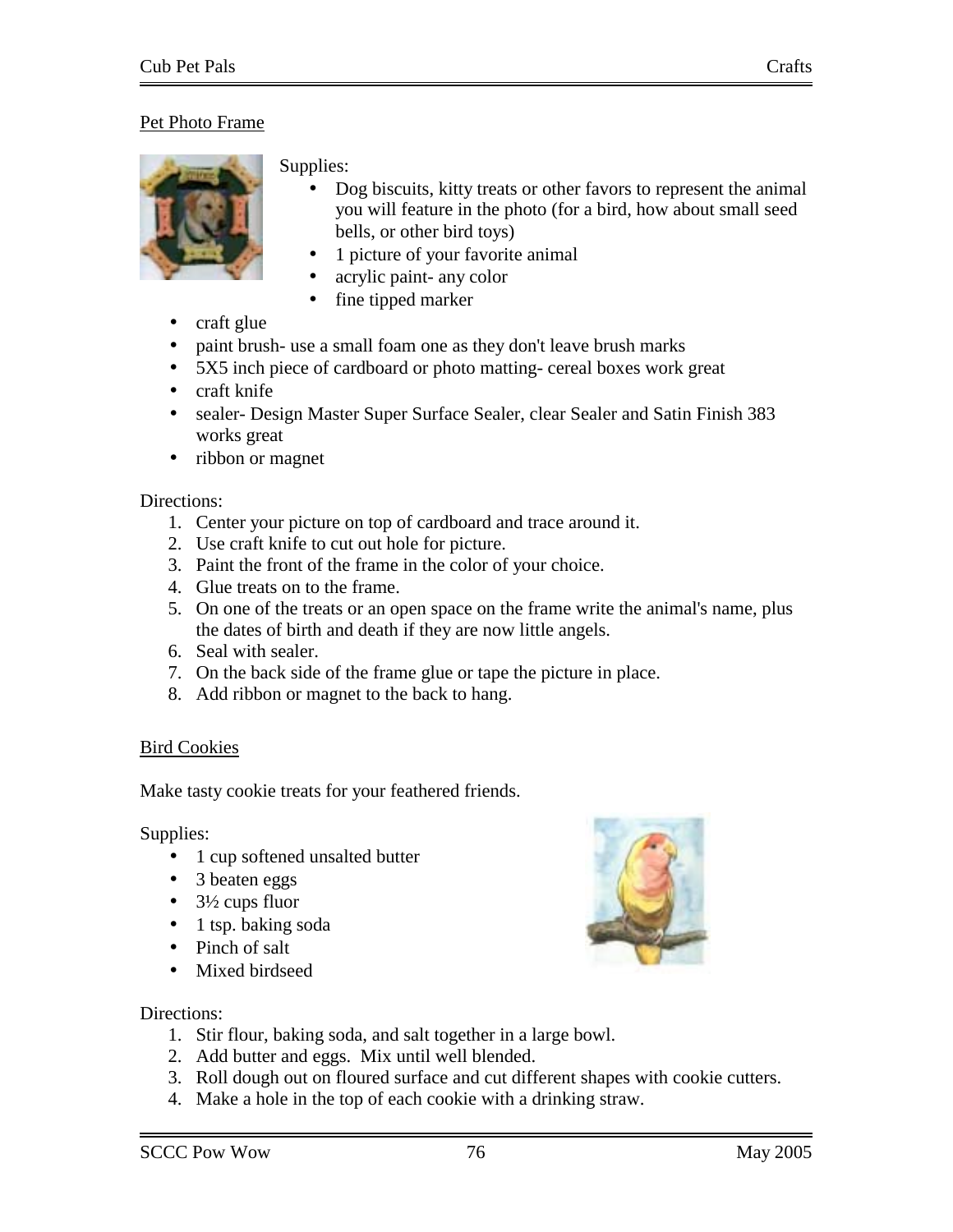# Pet Photo Frame



#### Supplies:

- Dog biscuits, kitty treats or other favors to represent the animal you will feature in the photo (for a bird, how about small seed bells, or other bird toys)
- 1 picture of your favorite animal
- acrylic paint- any color
- fine tipped marker
- craft glue
- paint brush-use a small foam one as they don't leave brush marks
- 5X5 inch piece of cardboard or photo matting- cereal boxes work great
- craft knife
- sealer- Design Master Super Surface Sealer, clear Sealer and Satin Finish 383 works great
- ribbon or magnet

#### Directions:

- 1. Center your picture on top of cardboard and trace around it.
- 2. Use craft knife to cut out hole for picture.
- 3. Paint the front of the frame in the color of your choice.
- 4. Glue treats on to the frame.
- 5. On one of the treats or an open space on the frame write the animal's name, plus the dates of birth and death if they are now little angels.
- 6. Seal with sealer.
- 7. On the back side of the frame glue or tape the picture in place.
- 8. Add ribbon or magnet to the back to hang.

#### Bird Cookies

Make tasty cookie treats for your feathered friends.

Supplies:

- 1 cup softened unsalted butter
- 3 beaten eggs
- $\bullet$  3½ cups fluor
- 1 tsp. baking soda
- Pinch of salt
- Mixed birdseed



- 1. Stir flour, baking soda, and salt together in a large bowl.
- 2. Add butter and eggs. Mix until well blended.
- 3. Roll dough out on floured surface and cut different shapes with cookie cutters.
- 4. Make a hole in the top of each cookie with a drinking straw.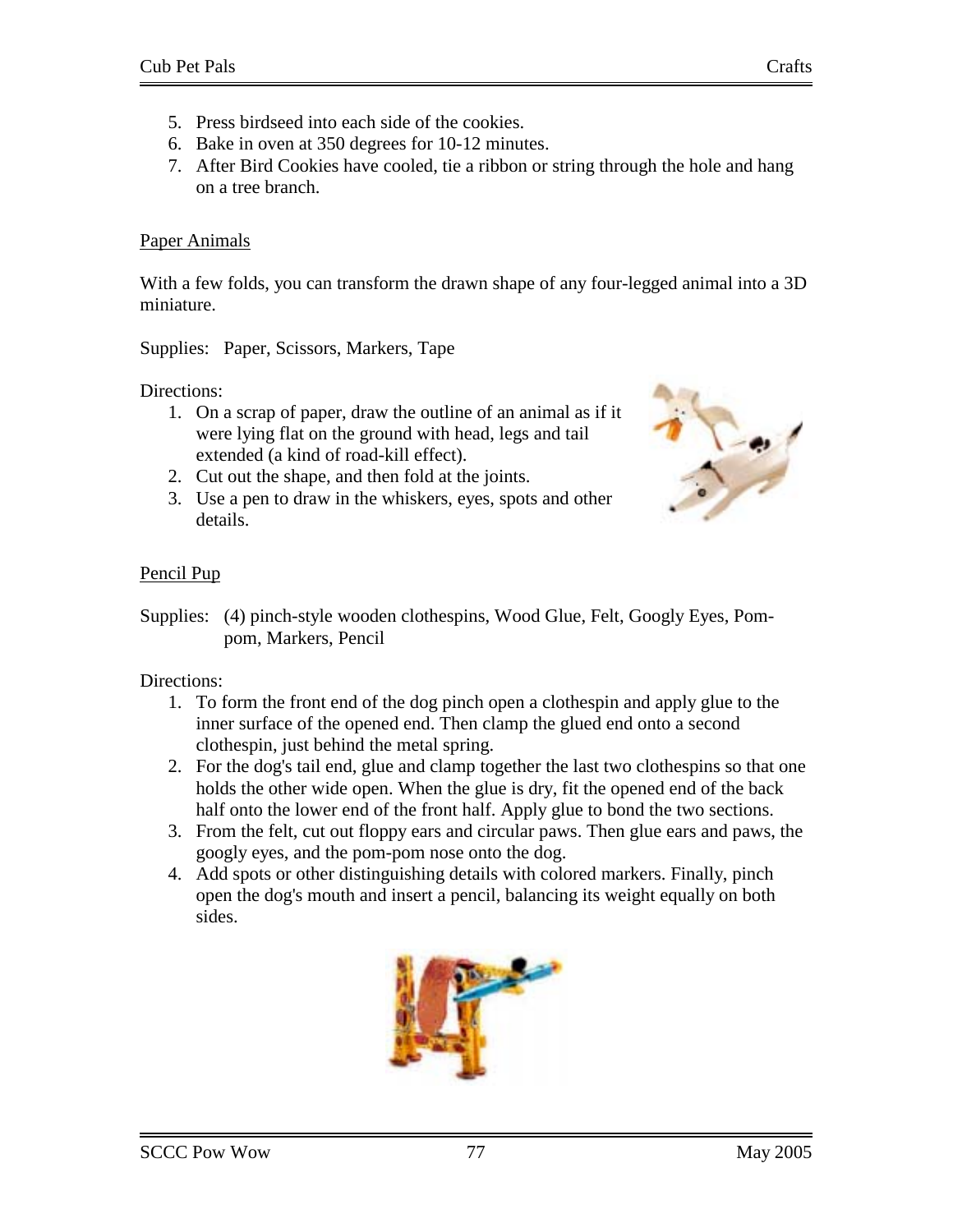- 5. Press birdseed into each side of the cookies.
- 6. Bake in oven at 350 degrees for 10-12 minutes.
- 7. After Bird Cookies have cooled, tie a ribbon or string through the hole and hang on a tree branch.

# Paper Animals

With a few folds, you can transform the drawn shape of any four-legged animal into a 3D miniature.

Supplies: Paper, Scissors, Markers, Tape

Directions:

- 1. On a scrap of paper, draw the outline of an animal as if it were lying flat on the ground with head, legs and tail extended (a kind of road-kill effect).
- 2. Cut out the shape, and then fold at the joints.
- 3. Use a pen to draw in the whiskers, eyes, spots and other details.



# Pencil Pup

Supplies: (4) pinch-style wooden clothespins, Wood Glue, Felt, Googly Eyes, Pompom, Markers, Pencil

- 1. To form the front end of the dog pinch open a clothespin and apply glue to the inner surface of the opened end. Then clamp the glued end onto a second clothespin, just behind the metal spring.
- 2. For the dog's tail end, glue and clamp together the last two clothespins so that one holds the other wide open. When the glue is dry, fit the opened end of the back half onto the lower end of the front half. Apply glue to bond the two sections.
- 3. From the felt, cut out floppy ears and circular paws. Then glue ears and paws, the googly eyes, and the pom-pom nose onto the dog.
- 4. Add spots or other distinguishing details with colored markers. Finally, pinch open the dog's mouth and insert a pencil, balancing its weight equally on both sides.

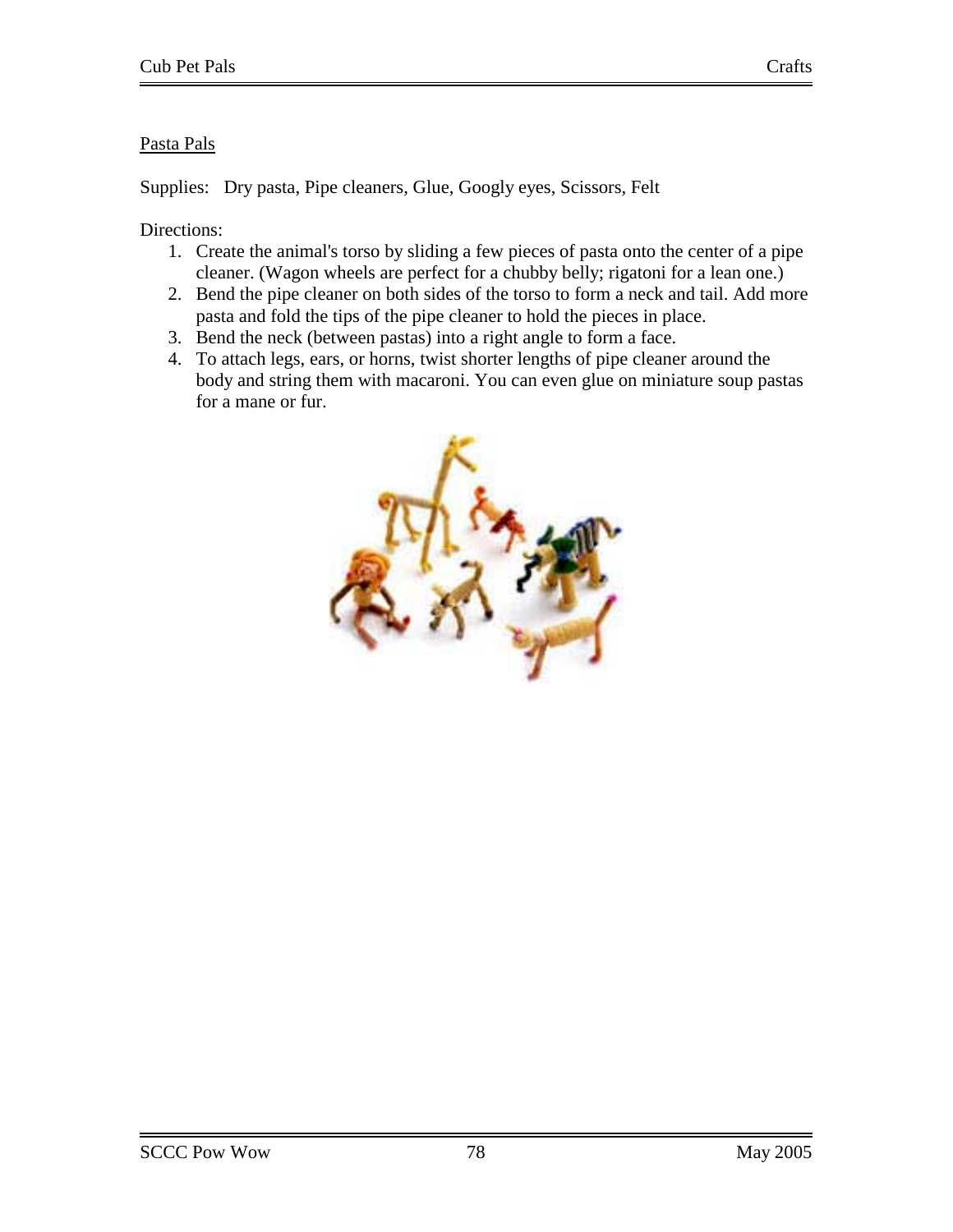# Pasta Pals

Supplies: Dry pasta, Pipe cleaners, Glue, Googly eyes, Scissors, Felt

- 1. Create the animal's torso by sliding a few pieces of pasta onto the center of a pipe cleaner. (Wagon wheels are perfect for a chubby belly; rigatoni for a lean one.)
- 2. Bend the pipe cleaner on both sides of the torso to form a neck and tail. Add more pasta and fold the tips of the pipe cleaner to hold the pieces in place.
- 3. Bend the neck (between pastas) into a right angle to form a face.
- 4. To attach legs, ears, or horns, twist shorter lengths of pipe cleaner around the body and string them with macaroni. You can even glue on miniature soup pastas for a mane or fur.

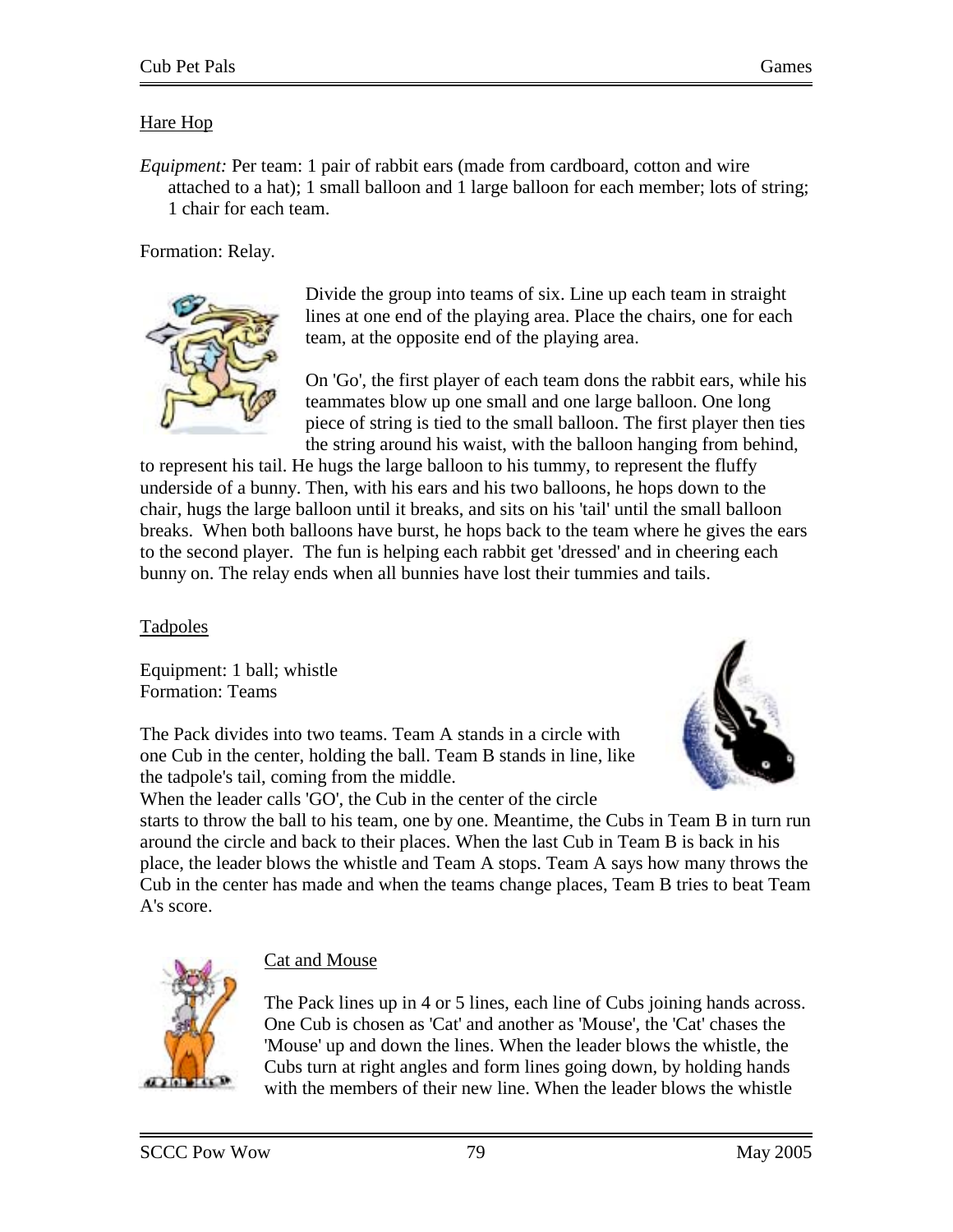## Hare Hop

*Equipment:* Per team: 1 pair of rabbit ears (made from cardboard, cotton and wire attached to a hat); 1 small balloon and 1 large balloon for each member; lots of string; 1 chair for each team.

Formation: Relay.



Divide the group into teams of six. Line up each team in straight lines at one end of the playing area. Place the chairs, one for each team, at the opposite end of the playing area.

On 'Go', the first player of each team dons the rabbit ears, while his teammates blow up one small and one large balloon. One long piece of string is tied to the small balloon. The first player then ties the string around his waist, with the balloon hanging from behind,

to represent his tail. He hugs the large balloon to his tummy, to represent the fluffy underside of a bunny. Then, with his ears and his two balloons, he hops down to the chair, hugs the large balloon until it breaks, and sits on his 'tail' until the small balloon breaks. When both balloons have burst, he hops back to the team where he gives the ears to the second player. The fun is helping each rabbit get 'dressed' and in cheering each bunny on. The relay ends when all bunnies have lost their tummies and tails.

Tadpoles

Equipment: 1 ball; whistle Formation: Teams

The Pack divides into two teams. Team A stands in a circle with one Cub in the center, holding the ball. Team B stands in line, like the tadpole's tail, coming from the middle.



When the leader calls 'GO', the Cub in the center of the circle

starts to throw the ball to his team, one by one. Meantime, the Cubs in Team B in turn run around the circle and back to their places. When the last Cub in Team B is back in his place, the leader blows the whistle and Team A stops. Team A says how many throws the Cub in the center has made and when the teams change places, Team B tries to beat Team A's score.



# Cat and Mouse

The Pack lines up in 4 or 5 lines, each line of Cubs joining hands across. One Cub is chosen as 'Cat' and another as 'Mouse', the 'Cat' chases the 'Mouse' up and down the lines. When the leader blows the whistle, the Cubs turn at right angles and form lines going down, by holding hands with the members of their new line. When the leader blows the whistle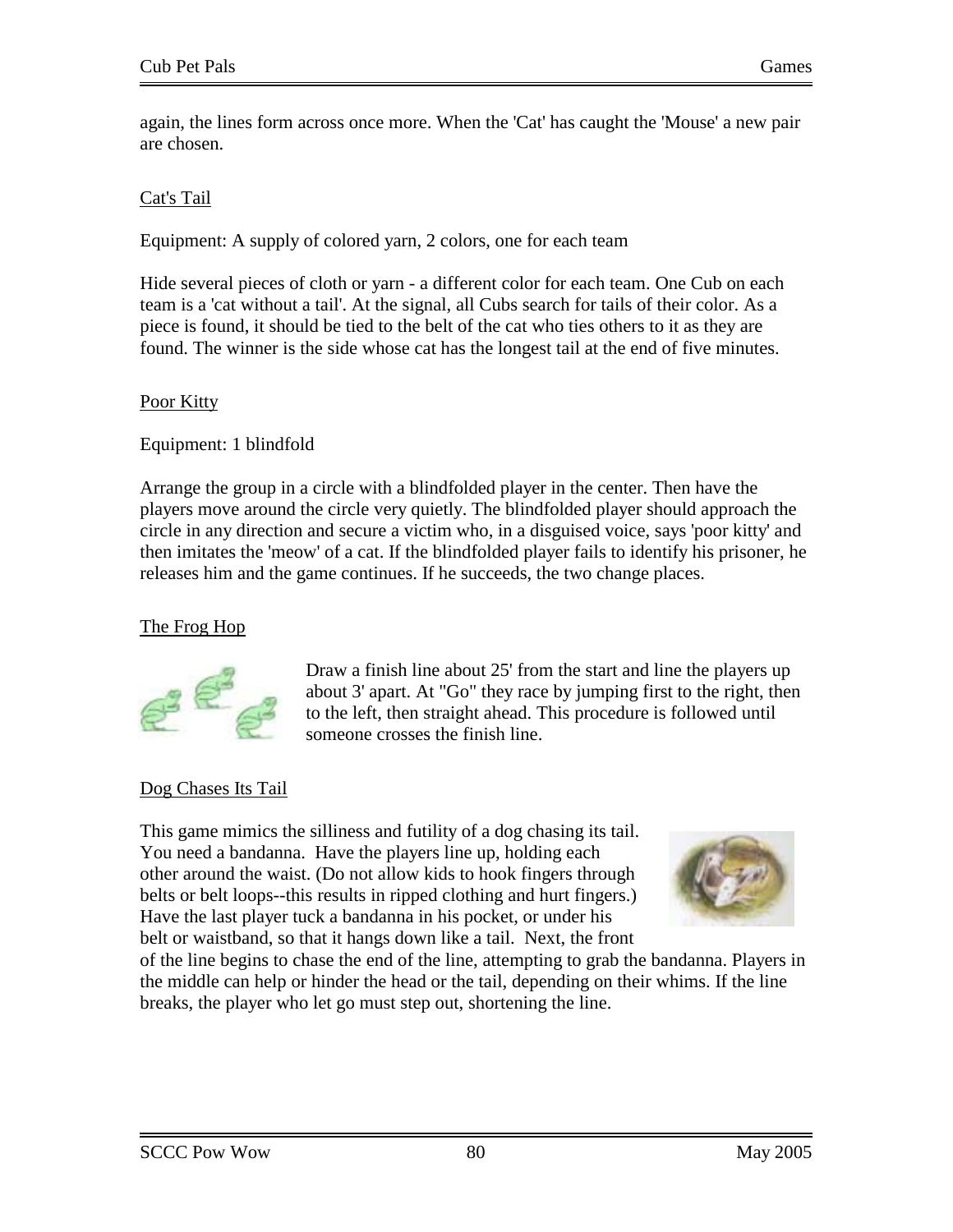again, the lines form across once more. When the 'Cat' has caught the 'Mouse' a new pair are chosen.

## Cat's Tail

Equipment: A supply of colored yarn, 2 colors, one for each team

Hide several pieces of cloth or yarn - a different color for each team. One Cub on each team is a 'cat without a tail'. At the signal, all Cubs search for tails of their color. As a piece is found, it should be tied to the belt of the cat who ties others to it as they are found. The winner is the side whose cat has the longest tail at the end of five minutes.

## Poor Kitty

Equipment: 1 blindfold

Arrange the group in a circle with a blindfolded player in the center. Then have the players move around the circle very quietly. The blindfolded player should approach the circle in any direction and secure a victim who, in a disguised voice, says 'poor kitty' and then imitates the 'meow' of a cat. If the blindfolded player fails to identify his prisoner, he releases him and the game continues. If he succeeds, the two change places.

# The Frog Hop



Draw a finish line about 25' from the start and line the players up about 3' apart. At "Go" they race by jumping first to the right, then to the left, then straight ahead. This procedure is followed until someone crosses the finish line.

# Dog Chases Its Tail

This game mimics the silliness and futility of a dog chasing its tail. You need a bandanna. Have the players line up, holding each other around the waist. (Do not allow kids to hook fingers through belts or belt loops--this results in ripped clothing and hurt fingers.) Have the last player tuck a bandanna in his pocket, or under his belt or waistband, so that it hangs down like a tail. Next, the front



of the line begins to chase the end of the line, attempting to grab the bandanna. Players in the middle can help or hinder the head or the tail, depending on their whims. If the line breaks, the player who let go must step out, shortening the line.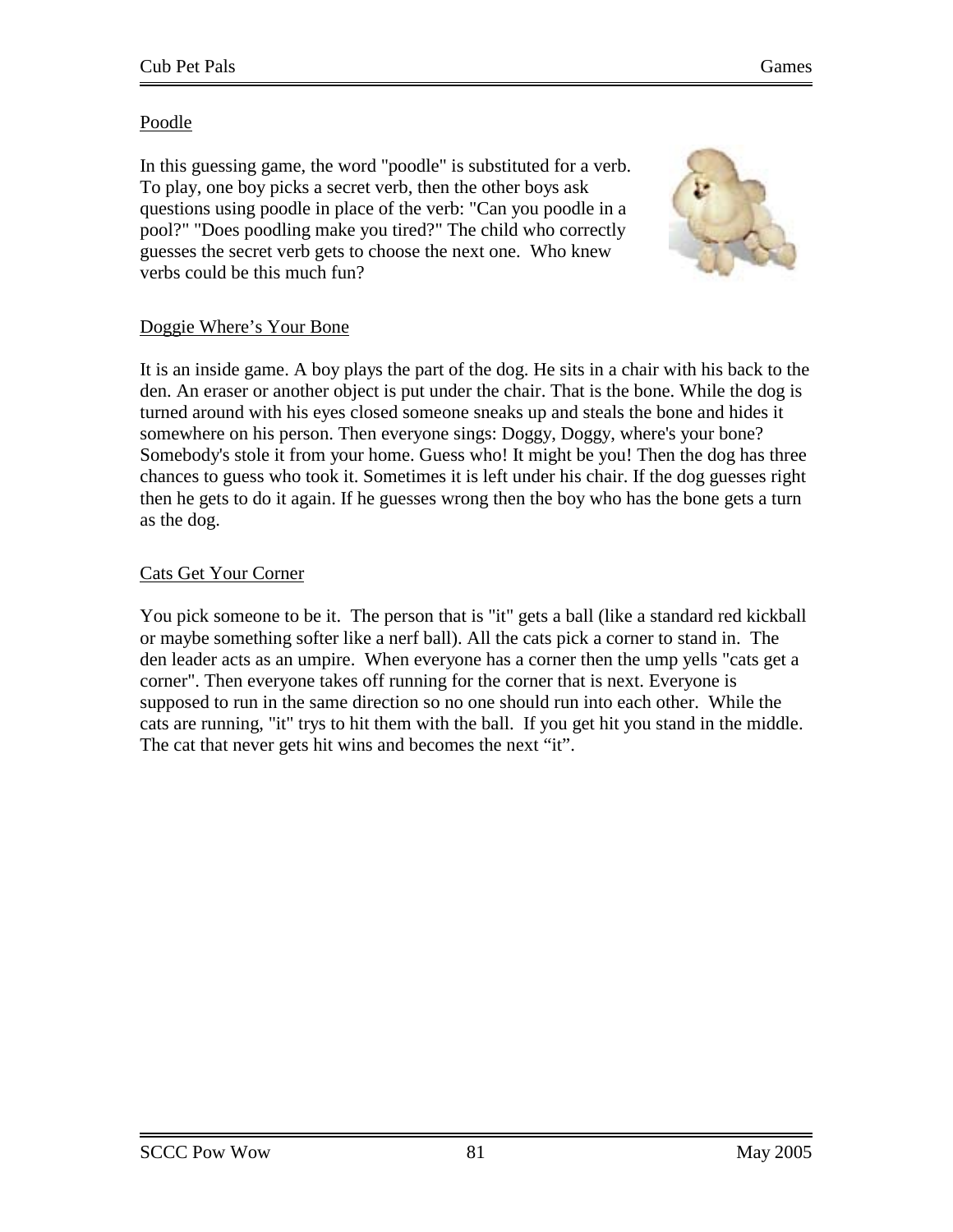## Poodle

In this guessing game, the word "poodle" is substituted for a verb. To play, one boy picks a secret verb, then the other boys ask questions using poodle in place of the verb: "Can you poodle in a pool?" "Does poodling make you tired?" The child who correctly guesses the secret verb gets to choose the next one. Who knew verbs could be this much fun?



## Doggie Where's Your Bone

It is an inside game. A boy plays the part of the dog. He sits in a chair with his back to the den. An eraser or another object is put under the chair. That is the bone. While the dog is turned around with his eyes closed someone sneaks up and steals the bone and hides it somewhere on his person. Then everyone sings: Doggy, Doggy, where's your bone? Somebody's stole it from your home. Guess who! It might be you! Then the dog has three chances to guess who took it. Sometimes it is left under his chair. If the dog guesses right then he gets to do it again. If he guesses wrong then the boy who has the bone gets a turn as the dog.

## Cats Get Your Corner

You pick someone to be it. The person that is "it" gets a ball (like a standard red kickball or maybe something softer like a nerf ball). All the cats pick a corner to stand in. The den leader acts as an umpire. When everyone has a corner then the ump yells "cats get a corner". Then everyone takes off running for the corner that is next. Everyone is supposed to run in the same direction so no one should run into each other. While the cats are running, "it" trys to hit them with the ball. If you get hit you stand in the middle. The cat that never gets hit wins and becomes the next "it".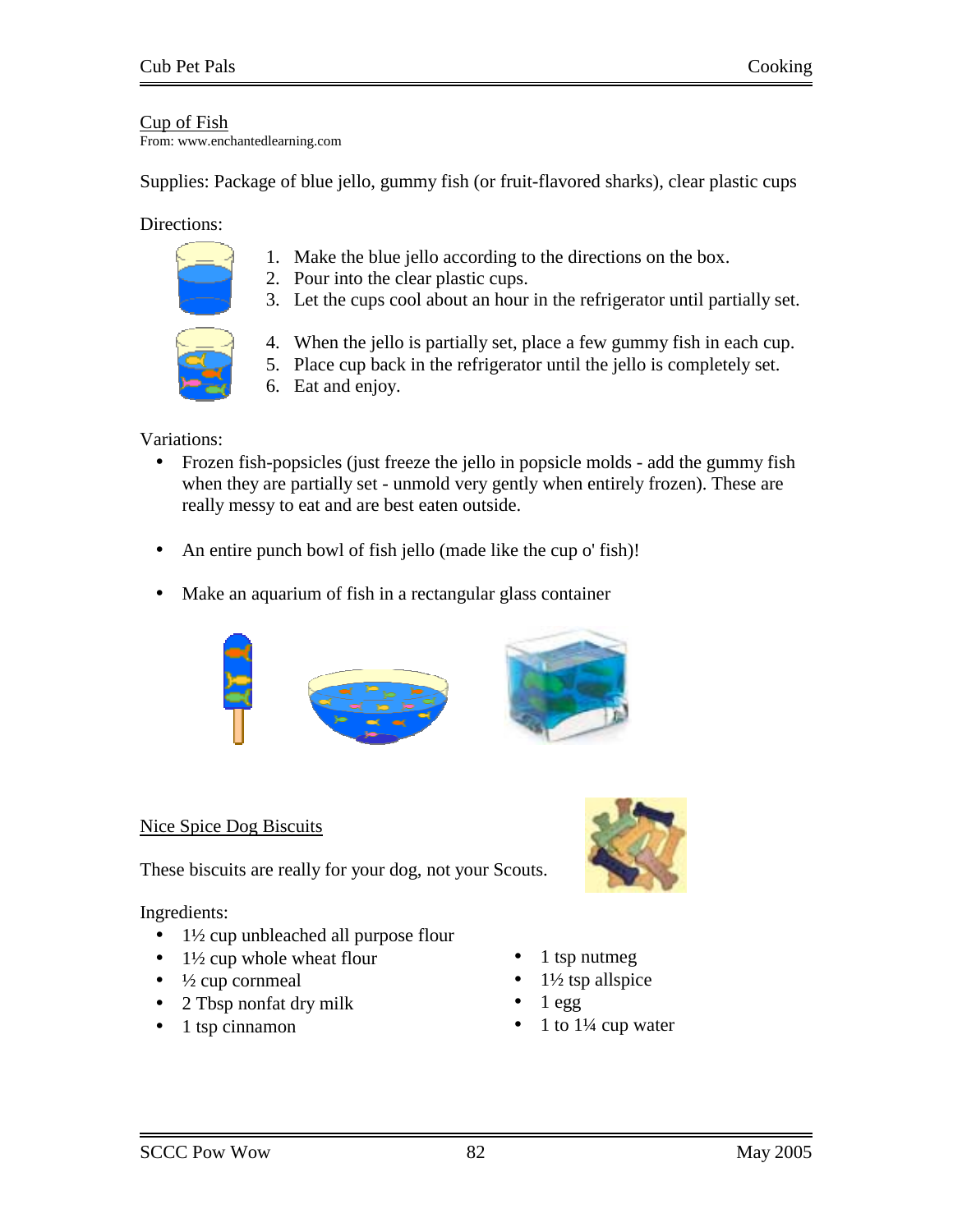## Cup of Fish

From: www.enchantedlearning.com

Supplies: Package of blue jello, gummy fish (or fruit-flavored sharks), clear plastic cups

#### Directions:

- 1. Make the blue jello according to the directions on the box.
- 2. Pour into the clear plastic cups.
- 3. Let the cups cool about an hour in the refrigerator until partially set.



- 4. When the jello is partially set, place a few gummy fish in each cup.
- 5. Place cup back in the refrigerator until the jello is completely set.
- 6. Eat and enjoy.

#### Variations:

- Frozen fish-popsicles (just freeze the jello in popsicle molds add the gummy fish when they are partially set - unmold very gently when entirely frozen). These are really messy to eat and are best eaten outside.
- An entire punch bowl of fish jello (made like the cup o' fish)!
- Make an aquarium of fish in a rectangular glass container



## Nice Spice Dog Biscuits

These biscuits are really for your dog, not your Scouts.

Ingredients:

- 1½ cup unbleached all purpose flour
- $1\frac{1}{2}$  cup whole wheat flour
- $\bullet$   $\frac{1}{2}$  cup cornmeal
- 2 Tbsp nonfat dry milk
- 1 tsp cinnamon



- 1 tsp nutmeg
- $1\frac{1}{2}$  tsp allspice
- $1$  egg
- 1 to  $1\frac{1}{4}$  cup water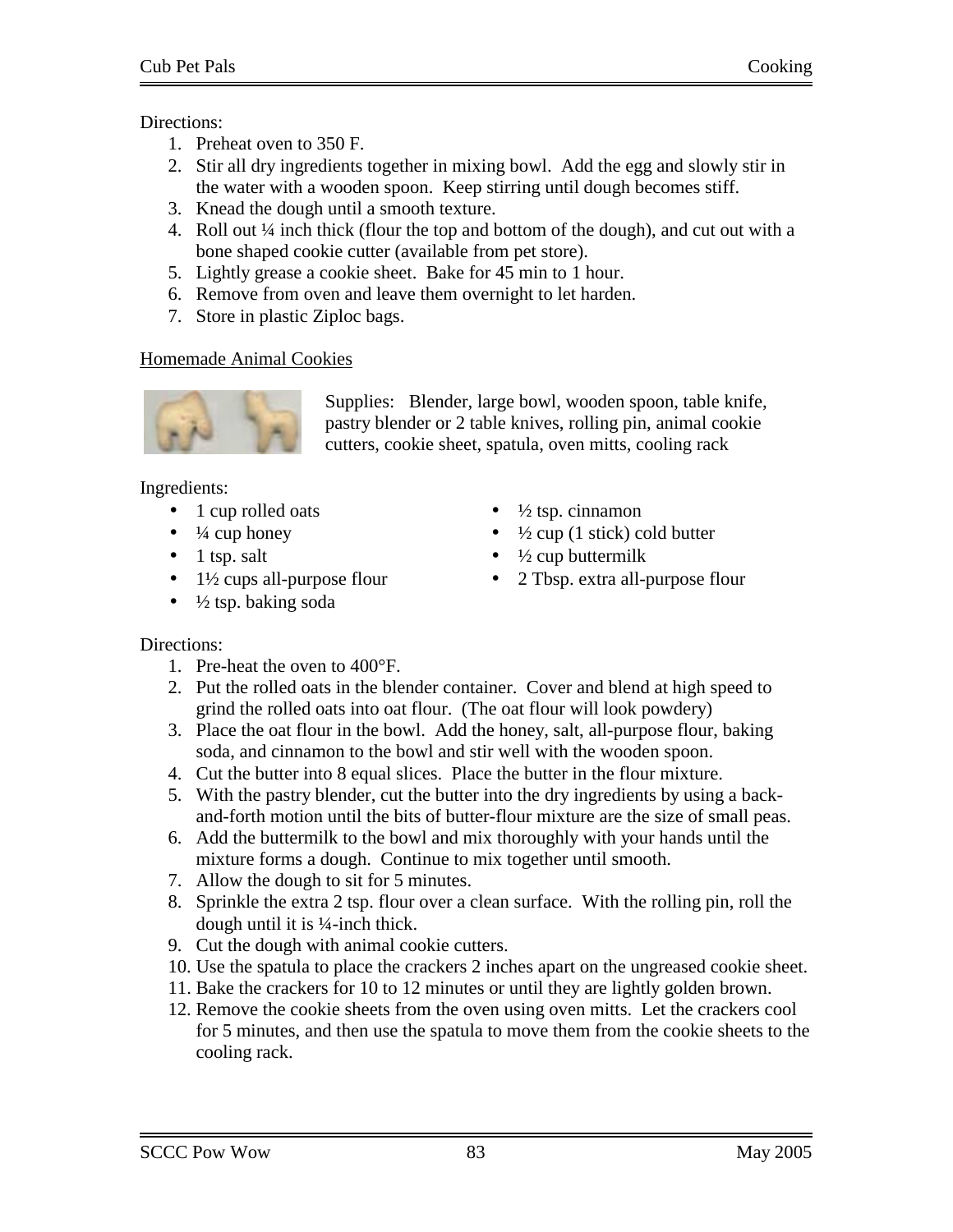## Directions:

- 1. Preheat oven to 350 F.
- 2. Stir all dry ingredients together in mixing bowl. Add the egg and slowly stir in the water with a wooden spoon. Keep stirring until dough becomes stiff.
- 3. Knead the dough until a smooth texture.
- 4. Roll out ¼ inch thick (flour the top and bottom of the dough), and cut out with a bone shaped cookie cutter (available from pet store).
- 5. Lightly grease a cookie sheet. Bake for 45 min to 1 hour.
- 6. Remove from oven and leave them overnight to let harden.
- 7. Store in plastic Ziploc bags.

# Homemade Animal Cookies



Supplies: Blender, large bowl, wooden spoon, table knife, pastry blender or 2 table knives, rolling pin, animal cookie cutters, cookie sheet, spatula, oven mitts, cooling rack

Ingredients:

- 1 cup rolled oats
- $\bullet$   $\frac{1}{4}$  cup honey
- $\bullet$  1 tsp. salt
- $\bullet$  1½ cups all-purpose flour
- $\frac{1}{2}$  tsp. baking soda
- $\frac{1}{2}$  tsp. cinnamon
- $\frac{1}{2}$  cup (1 stick) cold butter
- $\bullet$   $\frac{1}{2}$  cup buttermilk
- 2 Tbsp. extra all-purpose flour

- 1. Pre-heat the oven to 400°F.
- 2. Put the rolled oats in the blender container. Cover and blend at high speed to grind the rolled oats into oat flour. (The oat flour will look powdery)
- 3. Place the oat flour in the bowl. Add the honey, salt, all-purpose flour, baking soda, and cinnamon to the bowl and stir well with the wooden spoon.
- 4. Cut the butter into 8 equal slices. Place the butter in the flour mixture.
- 5. With the pastry blender, cut the butter into the dry ingredients by using a backand-forth motion until the bits of butter-flour mixture are the size of small peas.
- 6. Add the buttermilk to the bowl and mix thoroughly with your hands until the mixture forms a dough. Continue to mix together until smooth.
- 7. Allow the dough to sit for 5 minutes.
- 8. Sprinkle the extra 2 tsp. flour over a clean surface. With the rolling pin, roll the dough until it is ¼-inch thick.
- 9. Cut the dough with animal cookie cutters.
- 10. Use the spatula to place the crackers 2 inches apart on the ungreased cookie sheet.
- 11. Bake the crackers for 10 to 12 minutes or until they are lightly golden brown.
- 12. Remove the cookie sheets from the oven using oven mitts. Let the crackers cool for 5 minutes, and then use the spatula to move them from the cookie sheets to the cooling rack.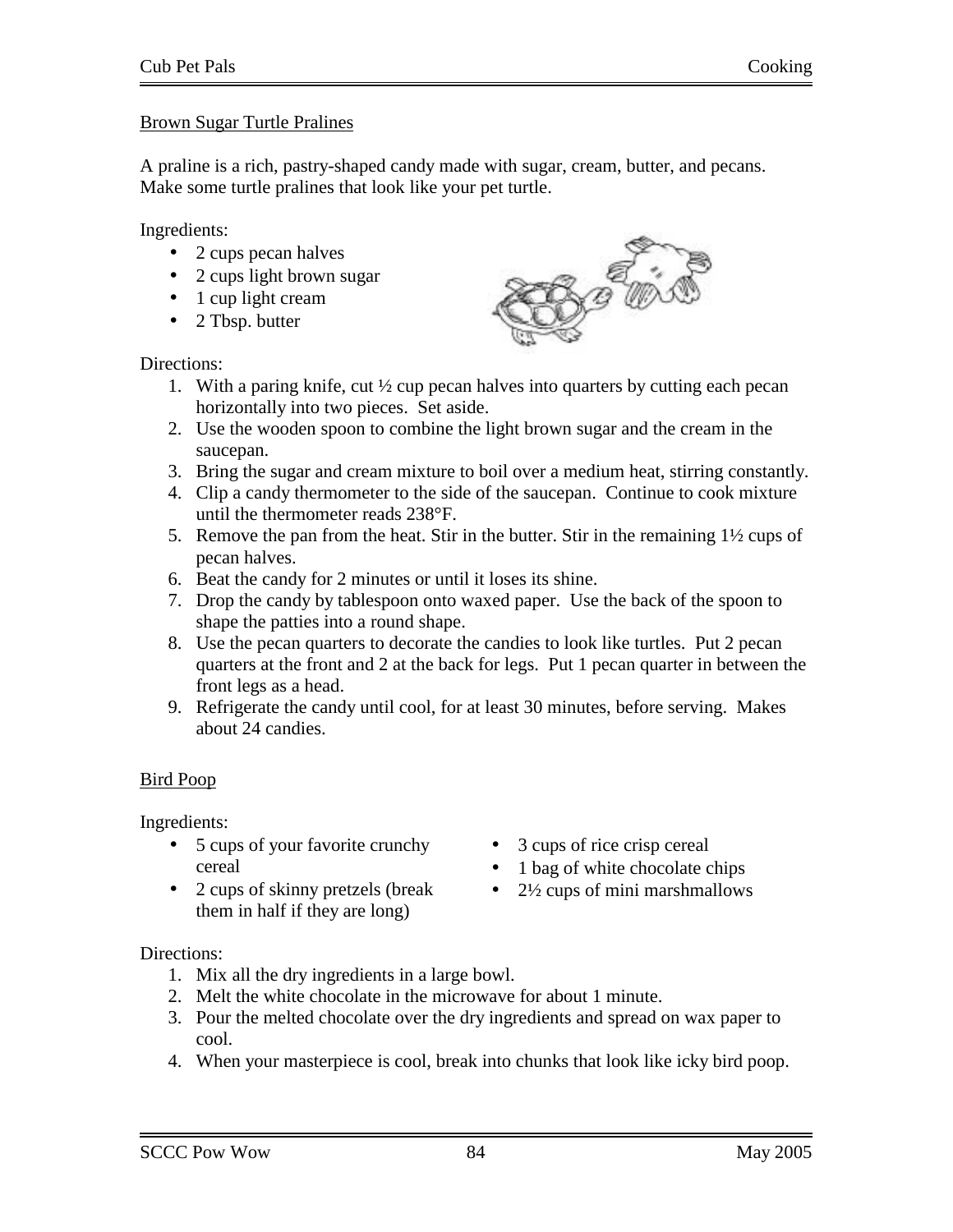## Brown Sugar Turtle Pralines

A praline is a rich, pastry-shaped candy made with sugar, cream, butter, and pecans. Make some turtle pralines that look like your pet turtle.

Ingredients:

- 2 cups pecan halves
- 2 cups light brown sugar
- 1 cup light cream
- 2 Tbsp. butter

Directions:



- 1. With a paring knife, cut  $\frac{1}{2}$  cup pecan halves into quarters by cutting each pecan horizontally into two pieces. Set aside.
- 2. Use the wooden spoon to combine the light brown sugar and the cream in the saucepan.
- 3. Bring the sugar and cream mixture to boil over a medium heat, stirring constantly.
- 4. Clip a candy thermometer to the side of the saucepan. Continue to cook mixture until the thermometer reads 238°F.
- 5. Remove the pan from the heat. Stir in the butter. Stir in the remaining 1½ cups of pecan halves.
- 6. Beat the candy for 2 minutes or until it loses its shine.
- 7. Drop the candy by tablespoon onto waxed paper. Use the back of the spoon to shape the patties into a round shape.
- 8. Use the pecan quarters to decorate the candies to look like turtles. Put 2 pecan quarters at the front and 2 at the back for legs. Put 1 pecan quarter in between the front legs as a head.
- 9. Refrigerate the candy until cool, for at least 30 minutes, before serving. Makes about 24 candies.

## Bird Poop

Ingredients:

- 5 cups of your favorite crunchy cereal
- 2 cups of skinny pretzels (break them in half if they are long)
- 3 cups of rice crisp cereal
- 1 bag of white chocolate chips
- $2\frac{1}{2}$  cups of mini marshmallows

- 1. Mix all the dry ingredients in a large bowl.
- 2. Melt the white chocolate in the microwave for about 1 minute.
- 3. Pour the melted chocolate over the dry ingredients and spread on wax paper to cool.
- 4. When your masterpiece is cool, break into chunks that look like icky bird poop.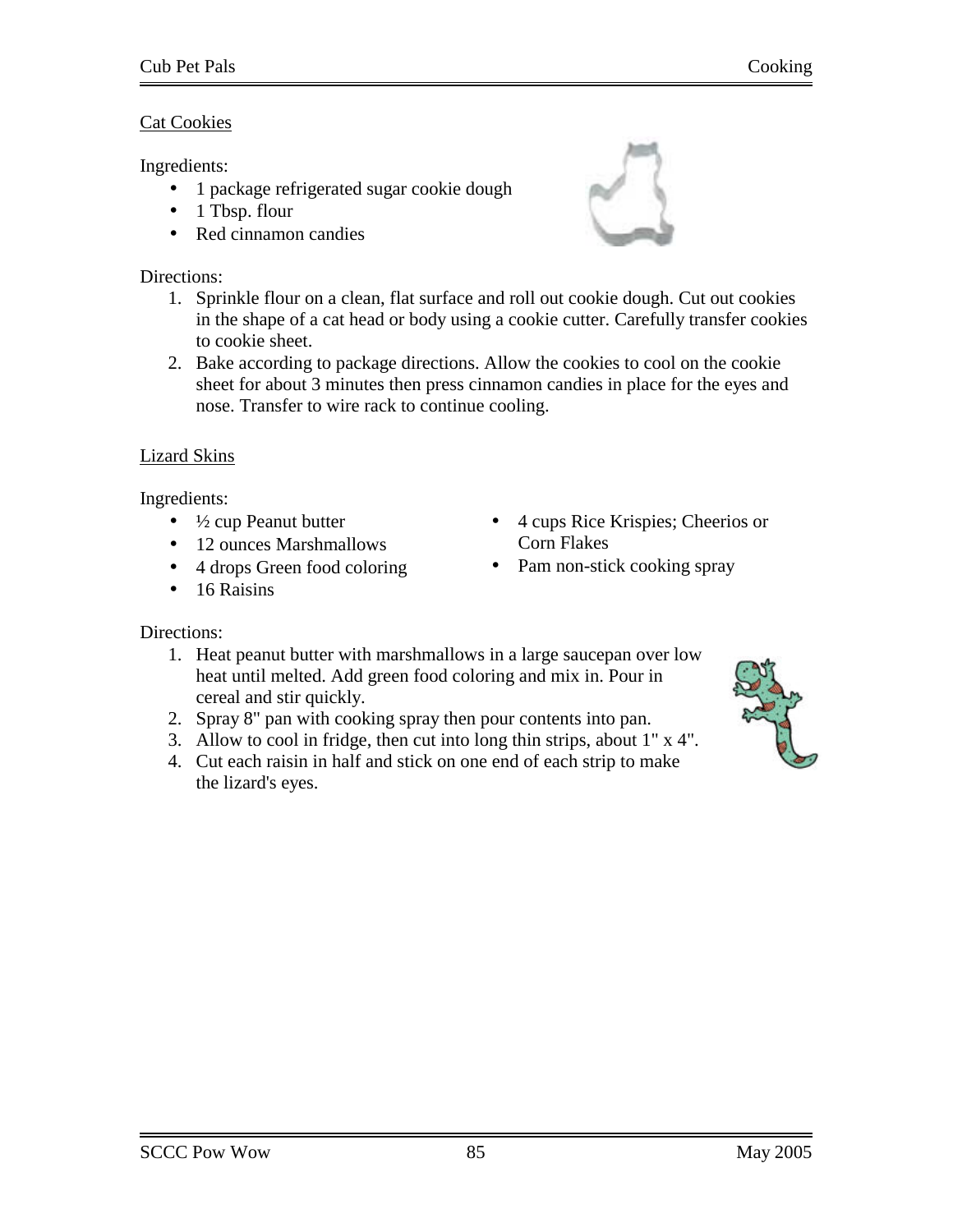## Cat Cookies

Ingredients:

- 1 package refrigerated sugar cookie dough
- 1 Tbsp. flour
- Red cinnamon candies

# Directions:

- 1. Sprinkle flour on a clean, flat surface and roll out cookie dough. Cut out cookies in the shape of a cat head or body using a cookie cutter. Carefully transfer cookies to cookie sheet.
- 2. Bake according to package directions. Allow the cookies to cool on the cookie sheet for about 3 minutes then press cinnamon candies in place for the eyes and nose. Transfer to wire rack to continue cooling.

# Lizard Skins

Ingredients:

- $\bullet$   $\frac{1}{2}$  cup Peanut butter
- 12 ounces Marshmallows
- 4 drops Green food coloring
- 16 Raisins
- 4 cups Rice Krispies; Cheerios or Corn Flakes
- Pam non-stick cooking spray

- 1. Heat peanut butter with marshmallows in a large saucepan over low heat until melted. Add green food coloring and mix in. Pour in cereal and stir quickly.
- 2. Spray 8" pan with cooking spray then pour contents into pan.
- 3. Allow to cool in fridge, then cut into long thin strips, about 1" x 4".
- 4. Cut each raisin in half and stick on one end of each strip to make the lizard's eyes.